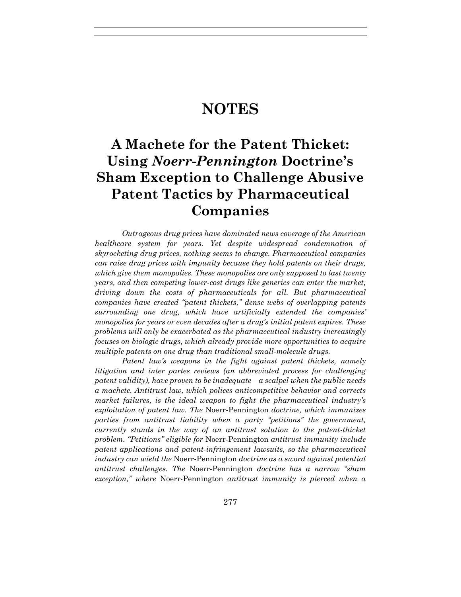# **NOTES**

# **A Machete for the Patent Thicket: Using** *Noerr-Pennington* **Doctrine's Sham Exception to Challenge Abusive Patent Tactics by Pharmaceutical Companies**

*Outrageous drug prices have dominated news coverage of the American healthcare system for years. Yet despite widespread condemnation of skyrocketing drug prices, nothing seems to change. Pharmaceutical companies can raise drug prices with impunity because they hold patents on their drugs, which give them monopolies. These monopolies are only supposed to last twenty years, and then competing lower-cost drugs like generics can enter the market, driving down the costs of pharmaceuticals for all. But pharmaceutical companies have created "patent thickets," dense webs of overlapping patents surrounding one drug, which have artificially extended the companies' monopolies for years or even decades after a drug's initial patent expires. These problems will only be exacerbated as the pharmaceutical industry increasingly focuses on biologic drugs, which already provide more opportunities to acquire multiple patents on one drug than traditional small-molecule drugs.*

*Patent law's weapons in the fight against patent thickets, namely litigation and inter partes reviews (an abbreviated process for challenging patent validity), have proven to be inadequate—a scalpel when the public needs a machete. Antitrust law, which polices anticompetitive behavior and corrects market failures, is the ideal weapon to fight the pharmaceutical industry's exploitation of patent law. The* Noerr-Pennington *doctrine, which immunizes parties from antitrust liability when a party "petitions" the government, currently stands in the way of an antitrust solution to the patent-thicket problem. "Petitions" eligible for* Noerr-Pennington *antitrust immunity include patent applications and patent-infringement lawsuits, so the pharmaceutical industry can wield the* Noerr-Pennington *doctrine as a sword against potential antitrust challenges. The* Noerr-Pennington *doctrine has a narrow "sham exception," where* Noerr-Pennington *antitrust immunity is pierced when a*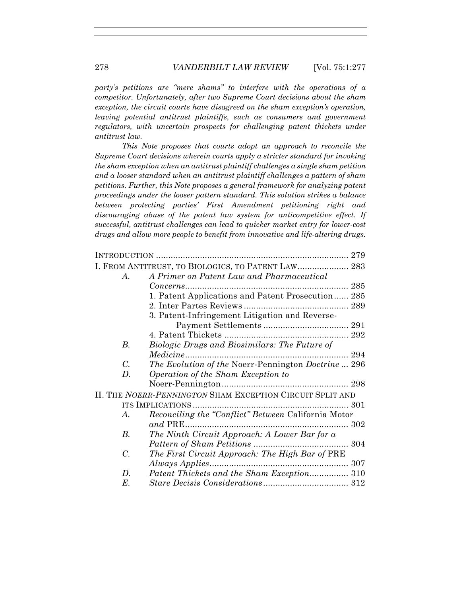*party's petitions are "mere shams" to interfere with the operations of a competitor. Unfortunately, after two Supreme Court decisions about the sham exception, the circuit courts have disagreed on the sham exception's operation, leaving potential antitrust plaintiffs, such as consumers and government regulators, with uncertain prospects for challenging patent thickets under antitrust law.*

*This Note proposes that courts adopt an approach to reconcile the Supreme Court decisions wherein courts apply a stricter standard for invoking the sham exception when an antitrust plaintiff challenges a single sham petition and a looser standard when an antitrust plaintiff challenges a pattern of sham petitions. Further, this Note proposes a general framework for analyzing patent proceedings under the looser pattern standard. This solution strikes a balance between protecting parties' First Amendment petitioning right and discouraging abuse of the patent law system for anticompetitive effect. If successful, antitrust challenges can lead to quicker market entry for lower-cost drugs and allow more people to benefit from innovative and life-altering drugs.*

|                 | I. FROM ANTITRUST, TO BIOLOGICS, TO PATENT LAW 283         |     |
|-----------------|------------------------------------------------------------|-----|
| $\bm{A}$ .      | A Primer on Patent Law and Pharmaceutical                  |     |
|                 |                                                            | 285 |
|                 | 1. Patent Applications and Patent Prosecution 285          |     |
|                 |                                                            |     |
|                 | 3. Patent-Infringement Litigation and Reverse-             |     |
|                 |                                                            |     |
|                 |                                                            |     |
| В.              | Biologic Drugs and Biosimilars: The Future of              |     |
|                 |                                                            |     |
| $\mathcal{C}$ . | <i>The Evolution of the Noerr-Pennington Doctrine</i> 296  |     |
| D.              | Operation of the Sham Exception to                         |     |
|                 |                                                            |     |
|                 | II. THE NOERR-PENNINGTON SHAM EXCEPTION CIRCUIT SPLIT AND  |     |
|                 |                                                            |     |
| $\bm{A}$ .      | <i>Reconciling the "Conflict" Between California Motor</i> |     |
|                 | $and$ PRE $.$                                              |     |
| <i>B</i> .      | The Ninth Circuit Approach: A Lower Bar for a              |     |
|                 |                                                            |     |
| $C_{\cdot}$     | The First Circuit Approach: The High Bar of PRE            |     |
|                 | Always Applies                                             | 307 |
| D.              | Patent Thickets and the Sham Exception 310                 |     |
| Е.              |                                                            |     |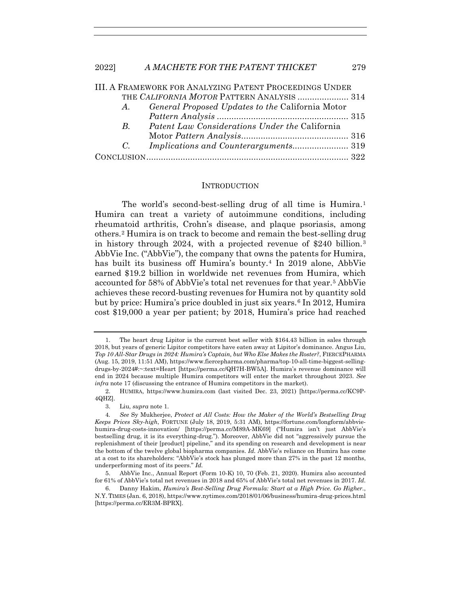|             | <b>III. A FRAMEWORK FOR ANALYZING PATENT PROCEEDINGS UNDER</b> |  |
|-------------|----------------------------------------------------------------|--|
|             | THE CALIFORNIA MOTOR PATTERN ANALYSIS  314                     |  |
| A.          | <i>General Proposed Updates to the California Motor</i>        |  |
|             |                                                                |  |
| $B_{\cdot}$ | Patent Law Considerations Under the California                 |  |
|             |                                                                |  |
| $C_{\cdot}$ | <i>Implications and Counterarguments</i> 319                   |  |
|             |                                                                |  |
|             |                                                                |  |

#### **INTRODUCTION**

The world's second-best-selling drug of all time is Humira.<sup>1</sup> Humira can treat a variety of autoimmune conditions, including rheumatoid arthritis, Crohn's disease, and plaque psoriasis, among others.2 Humira is on track to become and remain the best-selling drug in history through 2024, with a projected revenue of \$240 billion.<sup>3</sup> AbbVie Inc. ("AbbVie"), the company that owns the patents for Humira, has built its business off Humira's bounty.4 In 2019 alone, AbbVie earned \$19.2 billion in worldwide net revenues from Humira, which accounted for 58% of AbbVie's total net revenues for that year.5 AbbVie achieves these record-busting revenues for Humira not by quantity sold but by price: Humira's price doubled in just six years.6 In 2012, Humira cost \$19,000 a year per patient; by 2018, Humira's price had reached

 <sup>1.</sup> The heart drug Lipitor is the current best seller with \$164.43 billion in sales through 2018, but years of generic Lipitor competitors have eaten away at Lipitor's dominance. Angus Liu, *Top 10 All-Star Drugs in 2024: Humira's Captain, but Who Else Makes the Roster?*, FIERCEPHARMA (Aug. 15, 2019, 11:51 AM), https://www.fiercepharma.com/pharma/top-10-all-time-biggest-sellingdrugs-by-2024#:~:text=Heart [https://perma.cc/QH7H-BW5A]. Humira's revenue dominance will end in 2024 because multiple Humira competitors will enter the market throughout 2023. *See infra* note 17 (discussing the entrance of Humira competitors in the market).

 <sup>2.</sup> HUMIRA, https://www.humira.com (last visited Dec. 23, 2021) [https://perma.cc/KC9P-4QHZ].

 <sup>3.</sup> Liu, *supra* note 1.

<sup>4</sup>*. See* Sy Mukherjee, *Protect at All Costs: How the Maker of the World's Bestselling Drug Keeps Prices Sky-high*, FORTUNE (July 18, 2019, 5:31 AM), https://fortune.com/longform/abbviehumira-drug-costs-innovation/ [https://perma.cc/M89A-MK69] ("Humira isn't just AbbVie's bestselling drug, it is its everything-drug."). Moreover, AbbVie did not "aggressively pursue the replenishment of their [product] pipeline," and its spending on research and development is near the bottom of the twelve global biopharma companies. *Id.* AbbVie's reliance on Humira has come at a cost to its shareholders: "AbbVie's stock has plunged more than 27% in the past 12 months, underperforming most of its peers." *Id.*

 <sup>5.</sup> AbbVie Inc., Annual Report (Form 10-K) 10, 70 (Feb. 21, 2020). Humira also accounted for 61% of AbbVie's total net revenues in 2018 and 65% of AbbVie's total net revenues in 2017. *Id.*

 <sup>6.</sup> Danny Hakim, *Humira's Best-Selling Drug Formula: Start at a High Price. Go Higher.*, N.Y. TIMES (Jan. 6, 2018), https://www.nytimes.com/2018/01/06/business/humira-drug-prices.html [https://perma.cc/ER3M-BPRX].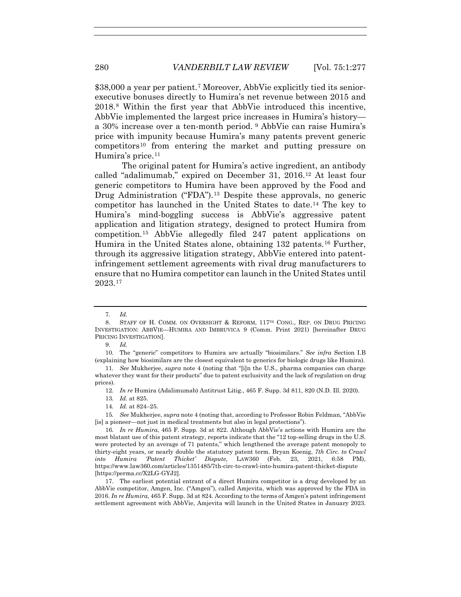\$38,000 a year per patient.7 Moreover, AbbVie explicitly tied its seniorexecutive bonuses directly to Humira's net revenue between 2015 and 2018.8 Within the first year that AbbVie introduced this incentive, AbbVie implemented the largest price increases in Humira's history a 30% increase over a ten-month period. <sup>9</sup> AbbVie can raise Humira's price with impunity because Humira's many patents prevent generic competitors10 from entering the market and putting pressure on Humira's price.<sup>11</sup>

The original patent for Humira's active ingredient, an antibody called "adalimumab," expired on December 31, 2016.12 At least four generic competitors to Humira have been approved by the Food and Drug Administration ("FDA").<sup>13</sup> Despite these approvals, no generic competitor has launched in the United States to date.14 The key to Humira's mind-boggling success is AbbVie's aggressive patent application and litigation strategy, designed to protect Humira from competition.15 AbbVie allegedly filed 247 patent applications on Humira in the United States alone, obtaining 132 patents.16 Further, through its aggressive litigation strategy, AbbVie entered into patentinfringement settlement agreements with rival drug manufacturers to ensure that no Humira competitor can launch in the United States until 2023.17

9. *Id.*

 10. The "generic" competitors to Humira are actually "biosimilars." *See infra* Section I.B (explaining how biosimilars are the closest equivalent to generics for biologic drugs like Humira).

14*. Id.* at 824–25.

<sup>7</sup>*. Id.*

<sup>8.</sup> STAFF OF H. COMM. ON OVERSIGHT & REFORM, 117<sup>TH</sup> CONG., REP. ON DRUG PRICING INVESTIGATION: ABBVIE—HUMIRA AND IMBRUVICA 9 (Comm. Print 2021) [hereinafter DRUG PRICING INVESTIGATION].

<sup>11</sup>*. See* Mukherjee, *supra* note 4 (noting that "[i]n the U.S., pharma companies can charge whatever they want for their products" due to patent exclusivity and the lack of regulation on drug prices).

<sup>12</sup>*. In re* Humira (Adalimumab) Antitrust Litig., 465 F. Supp. 3d 811, 820 (N.D. Ill. 2020).

<sup>13</sup>*. Id.* at 825.

<sup>15</sup>*. See* Mukherjee, *supra* note 4 (noting that, according to Professor Robin Feldman, "AbbVie [is] a pioneer—not just in medical treatments but also in legal protections").

<sup>16</sup>*. In re Humira*, 465 F. Supp. 3d at 822. Although AbbVie's actions with Humira are the most blatant use of this patent strategy, reports indicate that the "12 top-selling drugs in the U.S. were protected by an average of 71 patents," which lengthened the average patent monopoly to thirty-eight years, or nearly double the statutory patent term. Bryan Koenig, *7th Circ. to Crawl into Humira 'Patent Thicket' Dispute*, LAW360 (Feb. 23, 2021, 6:58 PM), https://www.law360.com/articles/1351485/7th-circ-to-crawl-into-humira-patent-thicket-dispute [https://perma.cc/X2LG-GYJ2].

 <sup>17.</sup> The earliest potential entrant of a direct Humira competitor is a drug developed by an AbbVie competitor, Amgen, Inc. ("Amgen"), called Amjevita, which was approved by the FDA in 2016. *In re Humira*, 465 F. Supp. 3d at 824. According to the terms of Amgen's patent infringement settlement agreement with AbbVie, Amjevita will launch in the United States in January 2023.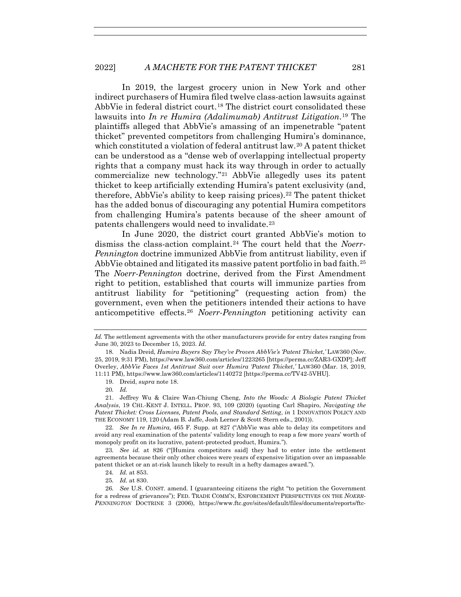In 2019, the largest grocery union in New York and other indirect purchasers of Humira filed twelve class-action lawsuits against AbbVie in federal district court.18 The district court consolidated these lawsuits into *In re Humira (Adalimumab) Antitrust Litigation*.19 The plaintiffs alleged that AbbVie's amassing of an impenetrable "patent thicket" prevented competitors from challenging Humira's dominance, which constituted a violation of federal antitrust law.<sup>20</sup> A patent thicket can be understood as a "dense web of overlapping intellectual property rights that a company must hack its way through in order to actually commercialize new technology."21 AbbVie allegedly uses its patent thicket to keep artificially extending Humira's patent exclusivity (and, therefore, AbbVie's ability to keep raising prices).<sup>22</sup> The patent thicket has the added bonus of discouraging any potential Humira competitors from challenging Humira's patents because of the sheer amount of patents challengers would need to invalidate.23

In June 2020, the district court granted AbbVie's motion to dismiss the class-action complaint.24 The court held that the *Noerr-Pennington* doctrine immunized AbbVie from antitrust liability, even if AbbVie obtained and litigated its massive patent portfolio in bad faith.<sup>25</sup> The *Noerr-Pennington* doctrine, derived from the First Amendment right to petition, established that courts will immunize parties from antitrust liability for "petitioning" (requesting action from) the government, even when the petitioners intended their actions to have anticompetitive effects.26 *Noerr-Pennington* petitioning activity can

*Id.* The settlement agreements with the other manufacturers provide for entry dates ranging from June 30, 2023 to December 15, 2023. *Id.*

 <sup>18.</sup> Nadia Dreid, *Humira Buyers Say They've Proven AbbVie's 'Patent Thicket*,*'* LAW360 (Nov. 25, 2019, 9:31 PM), https://www.law360.com/articles/1223265 [https://perma.cc/ZAR3-GXDP]; Jeff Overley, *AbbVie Faces 1st Antitrust Suit over Humira 'Patent Thicket*,*'* LAW360 (Mar. 18, 2019, 11:11 PM), https://www.law360.com/articles/1140272 [https://perma.cc/TV42-5VHU].

 <sup>19.</sup> Dreid, *supra* note 18.

<sup>20</sup>*. Id.*

 <sup>21.</sup> Jeffrey Wu & Claire Wan-Chiung Cheng, *Into the Woods: A Biologic Patent Thicket Analysis*, 19 CHI.-KENT J. INTELL. PROP. 93, 109 (2020) (quoting Carl Shapiro, *Navigating the Patent Thicket: Cross Licenses, Patent Pools, and Standard Setting*, *in* 1 INNOVATION POLICY AND THE ECONOMY 119, 120 (Adam B. Jaffe, Josh Lerner & Scott Stern eds., 2001)).

<sup>22</sup>*. See In re Humira*, 465 F. Supp. at 827 ("AbbVie was able to delay its competitors and avoid any real examination of the patents' validity long enough to reap a few more years' worth of monopoly profit on its lucrative, patent-protected product, Humira.").

<sup>23</sup>*. See id.* at 826 ("[Humira competitors said] they had to enter into the settlement agreements because their only other choices were years of expensive litigation over an impassable patent thicket or an at-risk launch likely to result in a hefty damages award.").

<sup>24</sup>*. Id.* at 853.

<sup>25</sup>*. Id.* at 830.

<sup>26</sup>*. See* U.S. CONST. amend. I (guaranteeing citizens the right "to petition the Government for a redress of grievances"); FED. TRADE COMM'N, ENFORCEMENT PERSPECTIVES ON THE *NOERR-PENNINGTON* DOCTRINE 3 (2006), https://www.ftc.gov/sites/default/files/documents/reports/ftc-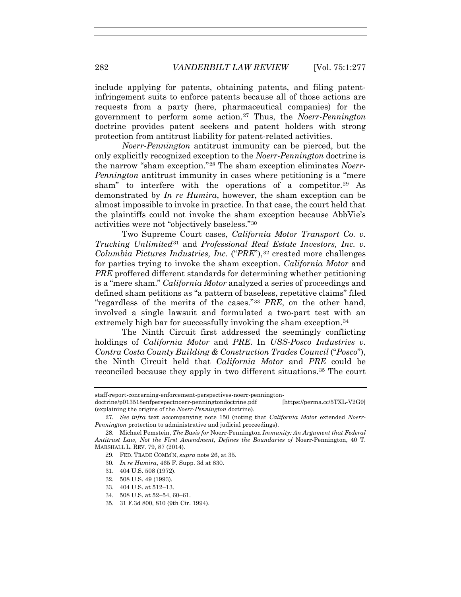include applying for patents, obtaining patents, and filing patentinfringement suits to enforce patents because all of those actions are requests from a party (here, pharmaceutical companies) for the government to perform some action.27 Thus, the *Noerr-Pennington* doctrine provides patent seekers and patent holders with strong protection from antitrust liability for patent-related activities.

*Noerr-Pennington* antitrust immunity can be pierced, but the only explicitly recognized exception to the *Noerr-Pennington* doctrine is the narrow "sham exception."28 The sham exception eliminates *Noerr-Pennington* antitrust immunity in cases where petitioning is a "mere sham" to interfere with the operations of a competitor.<sup>29</sup> As demonstrated by *In re Humira*, however, the sham exception can be almost impossible to invoke in practice. In that case, the court held that the plaintiffs could not invoke the sham exception because AbbVie's activities were not "objectively baseless."30

Two Supreme Court cases, *California Motor Transport Co. v. Trucking Unlimited*<sup>31</sup> and *Professional Real Estate Investors, Inc. v. Columbia Pictures Industries, Inc.* ("*PRE*"),<sup>32</sup> created more challenges for parties trying to invoke the sham exception. *California Motor* and *PRE* proffered different standards for determining whether petitioning is a "mere sham." *California Motor* analyzed a series of proceedings and defined sham petitions as "a pattern of baseless, repetitive claims" filed "regardless of the merits of the cases."33 *PRE*, on the other hand, involved a single lawsuit and formulated a two-part test with an extremely high bar for successfully invoking the sham exception.<sup>34</sup>

The Ninth Circuit first addressed the seemingly conflicting holdings of *California Motor* and *PRE*. In *USS-Posco Industries v. Contra Costa County Building & Construction Trades Council* ("*Posco*"), the Ninth Circuit held that *California Motor* and *PRE* could be reconciled because they apply in two different situations.35 The court

- 31. 404 U.S. 508 (1972).
- 32. 508 U.S. 49 (1993).
- 33. 404 U.S. at 512–13.
- 34. 508 U.S. at 52–54, 60–61.
- 35. 31 F.3d 800, 810 (9th Cir. 1994).

staff-report-concerning-enforcement-perspectives-noerr-pennington-

doctrine/p013518enfperspectnoerr-penningtondoctrine.pdf [https://perma.cc/5TXL-V2G9] (explaining the origins of the *Noerr-Pennington* doctrine).

<sup>27</sup>*. See infra* text accompanying note 150 (noting that *California Motor* extended *Noerr-Pennington* protection to administrative and judicial proceedings).

 <sup>28.</sup> Michael Pemstein, *The Basis for* Noerr-Pennington *Immunity: An Argument that Federal Antitrust Law, Not the First Amendment, Defines the Boundaries of* Noerr-Pennington, 40 T. MARSHALL L. REV. 79, 87 (2014).

 <sup>29.</sup> FED. TRADE COMM'N, *supra* note 26, at 35.

<sup>30</sup>*. In re Humira*, 465 F. Supp. 3d at 830.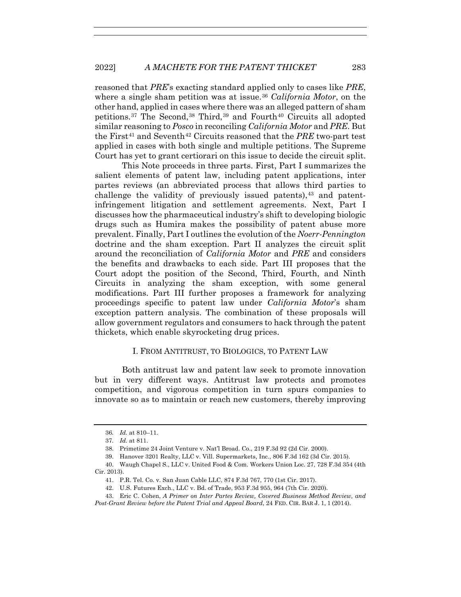reasoned that *PRE*'s exacting standard applied only to cases like *PRE*, where a single sham petition was at issue.36 *California Motor*, on the other hand, applied in cases where there was an alleged pattern of sham petitions.<sup>37</sup> The Second,<sup>38</sup> Third,<sup>39</sup> and Fourth<sup>40</sup> Circuits all adopted similar reasoning to *Posco* in reconciling *California Motor* and *PRE*. But the First<sup>41</sup> and Seventh<sup>42</sup> Circuits reasoned that the *PRE* two-part test applied in cases with both single and multiple petitions. The Supreme Court has yet to grant certiorari on this issue to decide the circuit split.

This Note proceeds in three parts. First, Part I summarizes the salient elements of patent law, including patent applications, inter partes reviews (an abbreviated process that allows third parties to challenge the validity of previously issued patents),  $43$  and patentinfringement litigation and settlement agreements. Next, Part I discusses how the pharmaceutical industry's shift to developing biologic drugs such as Humira makes the possibility of patent abuse more prevalent. Finally, Part I outlines the evolution of the *Noerr-Pennington* doctrine and the sham exception. Part II analyzes the circuit split around the reconciliation of *California Motor* and *PRE* and considers the benefits and drawbacks to each side. Part III proposes that the Court adopt the position of the Second, Third, Fourth, and Ninth Circuits in analyzing the sham exception, with some general modifications. Part III further proposes a framework for analyzing proceedings specific to patent law under *California Motor*'s sham exception pattern analysis. The combination of these proposals will allow government regulators and consumers to hack through the patent thickets, which enable skyrocketing drug prices.

### I. FROM ANTITRUST, TO BIOLOGICS, TO PATENT LAW

Both antitrust law and patent law seek to promote innovation but in very different ways. Antitrust law protects and promotes competition, and vigorous competition in turn spurs companies to innovate so as to maintain or reach new customers, thereby improving

<sup>36</sup>*. Id.* at 810–11.

<sup>37</sup>*. Id.* at 811.

 <sup>38.</sup> Primetime 24 Joint Venture v. Nat'l Broad. Co., 219 F.3d 92 (2d Cir. 2000).

 <sup>39.</sup> Hanover 3201 Realty, LLC v. Vill. Supermarkets, Inc., 806 F.3d 162 (3d Cir. 2015).

 <sup>40.</sup> Waugh Chapel S., LLC v. United Food & Com. Workers Union Loc. 27, 728 F.3d 354 (4th Cir. 2013).

 <sup>41.</sup> P.R. Tel. Co. v. San Juan Cable LLC, 874 F.3d 767, 770 (1st Cir. 2017).

 <sup>42.</sup> U.S. Futures Exch., LLC v. Bd. of Trade, 953 F.3d 955, 964 (7th Cir. 2020).

 <sup>43.</sup> Eric C. Cohen, *A Primer on Inter Partes Review, Covered Business Method Review, and* 

*Post-Grant Review before the Patent Trial and Appeal Board*, 24 FED. CIR. BAR J. 1, 1 (2014).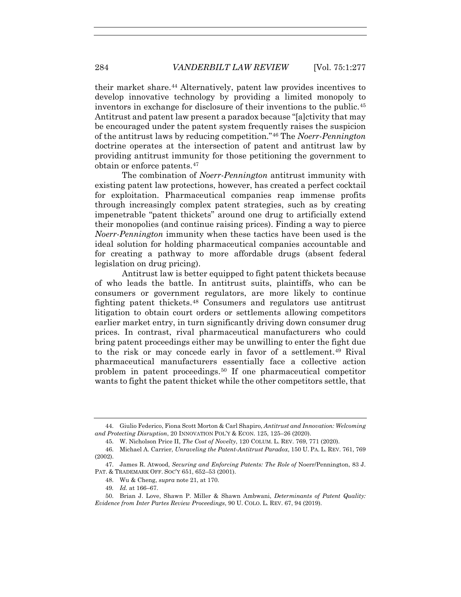their market share.44 Alternatively, patent law provides incentives to develop innovative technology by providing a limited monopoly to inventors in exchange for disclosure of their inventions to the public.45 Antitrust and patent law present a paradox because "[a]ctivity that may be encouraged under the patent system frequently raises the suspicion of the antitrust laws by reducing competition."46 The *Noerr-Pennington* doctrine operates at the intersection of patent and antitrust law by providing antitrust immunity for those petitioning the government to obtain or enforce patents.47

The combination of *Noerr-Pennington* antitrust immunity with existing patent law protections, however, has created a perfect cocktail for exploitation. Pharmaceutical companies reap immense profits through increasingly complex patent strategies, such as by creating impenetrable "patent thickets" around one drug to artificially extend their monopolies (and continue raising prices). Finding a way to pierce *Noerr-Pennington* immunity when these tactics have been used is the ideal solution for holding pharmaceutical companies accountable and for creating a pathway to more affordable drugs (absent federal legislation on drug pricing).

Antitrust law is better equipped to fight patent thickets because of who leads the battle. In antitrust suits, plaintiffs, who can be consumers or government regulators, are more likely to continue fighting patent thickets.48 Consumers and regulators use antitrust litigation to obtain court orders or settlements allowing competitors earlier market entry, in turn significantly driving down consumer drug prices. In contrast, rival pharmaceutical manufacturers who could bring patent proceedings either may be unwilling to enter the fight due to the risk or may concede early in favor of a settlement.<sup>49</sup> Rival pharmaceutical manufacturers essentially face a collective action problem in patent proceedings.50 If one pharmaceutical competitor wants to fight the patent thicket while the other competitors settle, that

 <sup>44.</sup> Giulio Federico, Fiona Scott Morton & Carl Shapiro, *Antitrust and Innovation: Welcoming and Protecting Disruption*, 20 INNOVATION POL'Y & ECON. 125, 125–26 (2020).

 <sup>45.</sup> W. Nicholson Price II, *The Cost of Novelty*, 120 COLUM. L. REV. 769, 771 (2020).

 <sup>46.</sup> Michael A. Carrier, *Unraveling the Patent-Antitrust Paradox*, 150 U. PA. L. REV. 761, 769 (2002).

 <sup>47.</sup> James R. Atwood, *Securing and Enforcing Patents: The Role of* Noerr/Pennington, 83 J. PAT. & TRADEMARK OFF. SOC'Y 651, 652–53 (2001).

 <sup>48.</sup> Wu & Cheng, *supra* note 21, at 170.

<sup>49</sup>*. Id.* at 166–67.

 <sup>50.</sup> Brian J. Love, Shawn P. Miller & Shawn Ambwani, *Determinants of Patent Quality: Evidence from Inter Partes Review Proceedings*, 90 U. COLO. L. REV. 67, 94 (2019).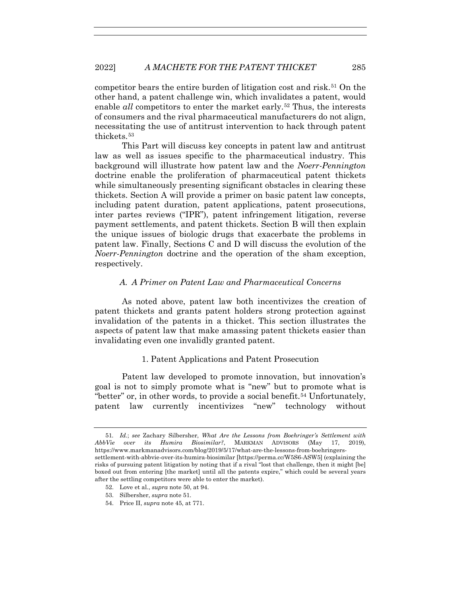competitor bears the entire burden of litigation cost and risk.51 On the other hand, a patent challenge win, which invalidates a patent, would enable *all* competitors to enter the market early.<sup>52</sup> Thus, the interests of consumers and the rival pharmaceutical manufacturers do not align, necessitating the use of antitrust intervention to hack through patent thickets.53

This Part will discuss key concepts in patent law and antitrust law as well as issues specific to the pharmaceutical industry. This background will illustrate how patent law and the *Noerr-Pennington*  doctrine enable the proliferation of pharmaceutical patent thickets while simultaneously presenting significant obstacles in clearing these thickets. Section A will provide a primer on basic patent law concepts, including patent duration, patent applications, patent prosecutions, inter partes reviews ("IPR"), patent infringement litigation, reverse payment settlements, and patent thickets. Section B will then explain the unique issues of biologic drugs that exacerbate the problems in patent law. Finally, Sections C and D will discuss the evolution of the *Noerr-Pennington* doctrine and the operation of the sham exception, respectively.

# *A. A Primer on Patent Law and Pharmaceutical Concerns*

As noted above, patent law both incentivizes the creation of patent thickets and grants patent holders strong protection against invalidation of the patents in a thicket. This section illustrates the aspects of patent law that make amassing patent thickets easier than invalidating even one invalidly granted patent.

# 1. Patent Applications and Patent Prosecution

Patent law developed to promote innovation, but innovation's goal is not to simply promote what is "new" but to promote what is "better" or, in other words, to provide a social benefit.<sup>54</sup> Unfortunately, patent law currently incentivizes "new" technology without

- 52. Love et al., *supra* note 50, at 94.
- 53. Silbersher, *supra* note 51.
- 54. Price II, *supra* note 45, at 771.

<sup>51</sup>*. Id.*; *see* Zachary Silbersher, *What Are the Lessons from Boehringer's Settlement with AbbVie over its Humira Biosimilar?*, MARKMAN ADVISORS (May 17, 2019), https://www.markmanadvisors.com/blog/2019/5/17/what-are-the-lessons-from-boehringers-

settlement-with-abbvie-over-its-humira-biosimilar [https://perma.cc/W5S6-ASW5] (explaining the risks of pursuing patent litigation by noting that if a rival "lost that challenge, then it might [be] boxed out from entering [the market] until all the patents expire," which could be several years after the settling competitors were able to enter the market).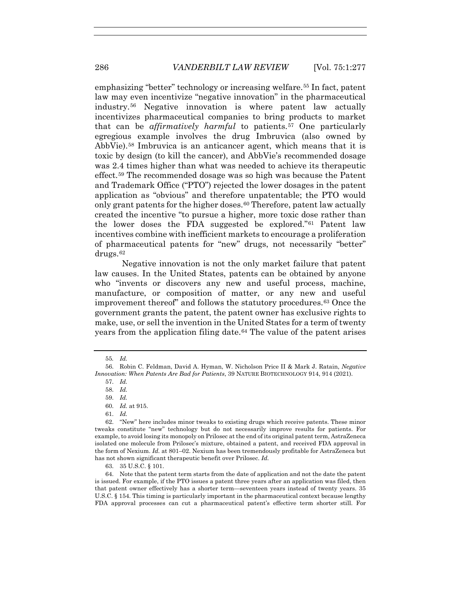emphasizing "better" technology or increasing welfare.55 In fact, patent law may even incentivize "negative innovation" in the pharmaceutical industry.56 Negative innovation is where patent law actually incentivizes pharmaceutical companies to bring products to market that can be *affirmatively harmful* to patients.57 One particularly egregious example involves the drug Imbruvica (also owned by AbbVie).58 Imbruvica is an anticancer agent, which means that it is toxic by design (to kill the cancer), and AbbVie's recommended dosage was 2.4 times higher than what was needed to achieve its therapeutic effect.59 The recommended dosage was so high was because the Patent and Trademark Office ("PTO") rejected the lower dosages in the patent application as "obvious" and therefore unpatentable; the PTO would only grant patents for the higher doses.<sup>60</sup> Therefore, patent law actually created the incentive "to pursue a higher, more toxic dose rather than the lower doses the FDA suggested be explored."61 Patent law incentives combine with inefficient markets to encourage a proliferation of pharmaceutical patents for "new" drugs, not necessarily "better" drugs.62

Negative innovation is not the only market failure that patent law causes. In the United States, patents can be obtained by anyone who "invents or discovers any new and useful process, machine, manufacture, or composition of matter, or any new and useful improvement thereof" and follows the statutory procedures.63 Once the government grants the patent, the patent owner has exclusive rights to make, use, or sell the invention in the United States for a term of twenty years from the application filing date.64 The value of the patent arises

63. 35 U.S.C. § 101.

<sup>55</sup>*. Id.*

 <sup>56.</sup> Robin C. Feldman, David A. Hyman, W. Nicholson Price II & Mark J. Ratain, *Negative Innovation: When Patents Are Bad for Patients*, 39 NATURE BIOTECHNOLOGY 914, 914 (2021).

 <sup>57.</sup> *Id.*

 <sup>58.</sup> *Id.*

 <sup>59.</sup> *Id.*

 <sup>60.</sup> *Id.* at 915.

 <sup>61.</sup> *Id.*

 <sup>62. &</sup>quot;New" here includes minor tweaks to existing drugs which receive patents. These minor tweaks constitute "new" technology but do not necessarily improve results for patients. For example, to avoid losing its monopoly on Prilosec at the end of its original patent term, AstraZeneca isolated one molecule from Prilosec's mixture, obtained a patent, and received FDA approval in the form of Nexium. *Id.* at 801–02. Nexium has been tremendously profitable for AstraZeneca but has not shown significant therapeutic benefit over Prilosec. *Id.*

 <sup>64.</sup> Note that the patent term starts from the date of application and not the date the patent is issued. For example, if the PTO issues a patent three years after an application was filed, then that patent owner effectively has a shorter term—seventeen years instead of twenty years. 35 U.S.C. § 154. This timing is particularly important in the pharmaceutical context because lengthy FDA approval processes can cut a pharmaceutical patent's effective term shorter still. For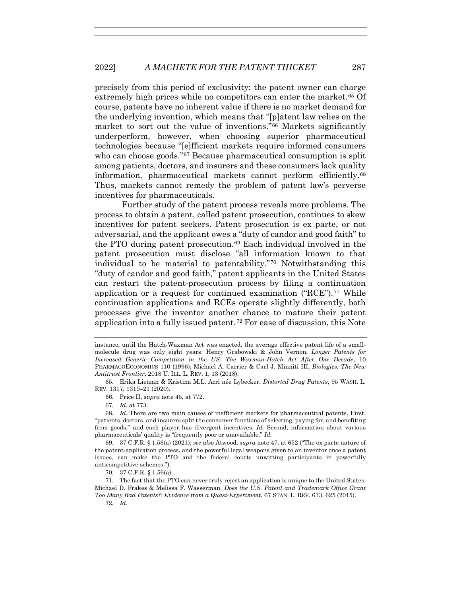precisely from this period of exclusivity: the patent owner can charge extremely high prices while no competitors can enter the market.<sup>65</sup> Of course, patents have no inherent value if there is no market demand for the underlying invention, which means that "[p]atent law relies on the market to sort out the value of inventions."66 Markets significantly underperform, however, when choosing superior pharmaceutical technologies because "[e]fficient markets require informed consumers who can choose goods."<sup>67</sup> Because pharmaceutical consumption is split among patients, doctors, and insurers and these consumers lack quality information, pharmaceutical markets cannot perform efficiently.68 Thus, markets cannot remedy the problem of patent law's perverse incentives for pharmaceuticals.

Further study of the patent process reveals more problems. The process to obtain a patent, called patent prosecution, continues to skew incentives for patent seekers. Patent prosecution is ex parte, or not adversarial, and the applicant owes a "duty of candor and good faith" to the PTO during patent prosecution.69 Each individual involved in the patent prosecution must disclose "all information known to that individual to be material to patentability."70 Notwithstanding this "duty of candor and good faith," patent applicants in the United States can restart the patent-prosecution process by filing a continuation application or a request for continued examination  $("RCE")$ .<sup>71</sup> While continuation applications and RCEs operate slightly differently, both processes give the inventor another chance to mature their patent application into a fully issued patent.72 For ease of discussion, this Note

instance, until the Hatch-Waxman Act was enacted, the average effective patent life of a smallmolecule drug was only eight years. Henry Grabowski & John Vernon, *Longer Patents for Increased Generic Competition in the US: The Waxman-Hatch Act After One Decade*, 10 PHARMACOECONOMICS 110 (1996); Michael A. Carrier & Carl J. Minniti III, *Biologics: The New Antitrust Frontier*, 2018 U. ILL. L. REV. 1, 13 (2018).

 <sup>65.</sup> Erika Lietzan & Kristina M.L. Acri née Lybecker, *Distorted Drug Patents*, 95 WASH. L. REV. 1317, 1319–21 (2020).

 <sup>66.</sup> Price II, *supra* note 45, at 772.

<sup>67</sup>*. Id.* at 773.

<sup>68</sup>*. Id.* There are two main causes of inefficient markets for pharmaceutical patents. First, "patients, doctors, and insurers split the consumer functions of selecting, paying for, and benefiting from goods," and each player has divergent incentives. *Id.* Second, information about various pharmaceuticals' quality is "frequently poor or unavailable." *Id.*

 <sup>69. 37</sup> C.F.R. § 1.56(a) (2021); *see also* Atwood, *supra* note 47, at 652 ("The ex parte nature of the patent-application process, and the powerful legal weapons given to an inventor once a patent issues, can make the PTO and the federal courts unwitting participants in powerfully anticompetitive schemes.").

 <sup>70. 37</sup> C.F.R. § 1.56(a).

 <sup>71.</sup> The fact that the PTO can never truly reject an application is unique to the United States. Michael D. Frakes & Melissa F. Wasserman, *Does the U.S. Patent and Trademark Office Grant Too Many Bad Patents?: Evidence from a Quasi-Experiment*, 67 STAN. L. REV. 613, 625 (2015).

<sup>72</sup>*. Id.*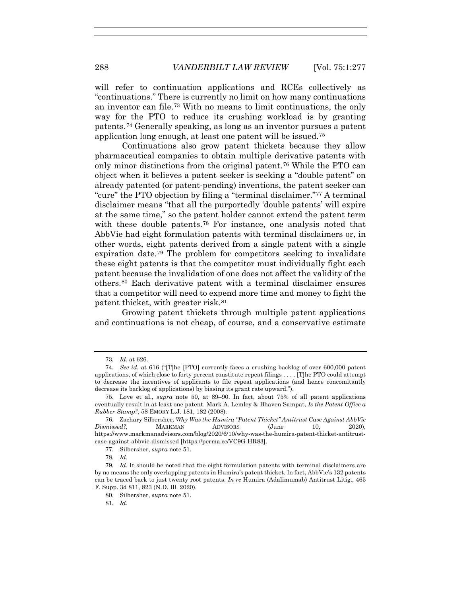will refer to continuation applications and RCEs collectively as "continuations." There is currently no limit on how many continuations an inventor can file.73 With no means to limit continuations, the only way for the PTO to reduce its crushing workload is by granting patents.74 Generally speaking, as long as an inventor pursues a patent application long enough, at least one patent will be issued.75

Continuations also grow patent thickets because they allow pharmaceutical companies to obtain multiple derivative patents with only minor distinctions from the original patent.76 While the PTO can object when it believes a patent seeker is seeking a "double patent" on already patented (or patent-pending) inventions, the patent seeker can "cure" the PTO objection by filing a "terminal disclaimer."77 A terminal disclaimer means "that all the purportedly 'double patents' will expire at the same time," so the patent holder cannot extend the patent term with these double patents.78 For instance, one analysis noted that AbbVie had eight formulation patents with terminal disclaimers or, in other words, eight patents derived from a single patent with a single expiration date.79 The problem for competitors seeking to invalidate these eight patents is that the competitor must individually fight each patent because the invalidation of one does not affect the validity of the others.80 Each derivative patent with a terminal disclaimer ensures that a competitor will need to expend more time and money to fight the patent thicket, with greater risk.81

Growing patent thickets through multiple patent applications and continuations is not cheap, of course, and a conservative estimate

<sup>73</sup>*. Id.* at 626.

<sup>74</sup>*. See id.* at 616 ("[T]he [PTO] currently faces a crushing backlog of over 600,000 patent applications, of which close to forty percent constitute repeat filings . . . . [T]he PTO could attempt to decrease the incentives of applicants to file repeat applications (and hence concomitantly decrease its backlog of applications) by biasing its grant rate upward.").

 <sup>75.</sup> Love et al., *supra* note 50, at 89–90. In fact, about 75% of all patent applications eventually result in at least one patent. Mark A. Lemley & Bhaven Sampat, *Is the Patent Office a Rubber Stamp?*, 58 EMORY L.J. 181, 182 (2008).

 <sup>76.</sup> Zachary Silbersher, *Why Was the Humira "Patent Thicket" Antitrust Case Against AbbVie Dismissed?*, MARKMAN ADVISORS (June 10, 2020), https://www.markmanadvisors.com/blog/2020/6/10/why-was-the-humira-patent-thicket-antitrustcase-against-abbvie-dismissed [https://perma.cc/VC9G-HR83].

 <sup>77.</sup> Silbersher, *supra* note 51.

<sup>78</sup>*. Id.*

<sup>79</sup>*. Id.* It should be noted that the eight formulation patents with terminal disclaimers are by no means the only overlapping patents in Humira's patent thicket. In fact, AbbVie's 132 patents can be traced back to just twenty root patents. *In re* Humira (Adalimumab) Antitrust Litig., 465 F. Supp. 3d 811, 823 (N.D. Ill. 2020).

 <sup>80.</sup> Silbersher, *supra* note 51.

<sup>81</sup>*. Id.*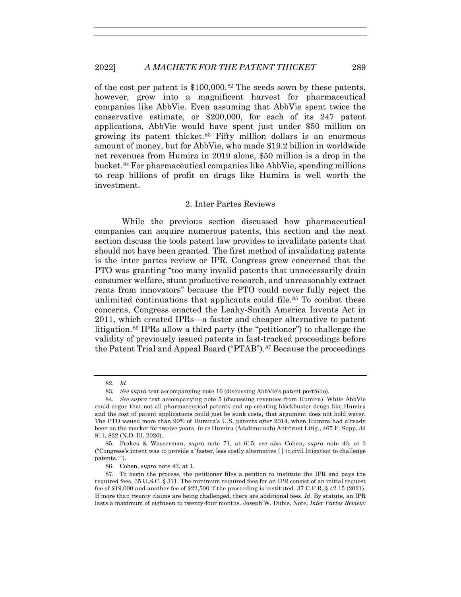of the cost per patent is \$100,000.82 The seeds sown by these patents, however, grow into a magnificent harvest for pharmaceutical companies like AbbVie. Even assuming that AbbVie spent twice the conservative estimate, or \$200,000, for each of its 247 patent applications, AbbVie would have spent just under \$50 million on growing its patent thicket.83 Fifty million dollars is an enormous amount of money, but for AbbVie, who made \$19.2 billion in worldwide net revenues from Humira in 2019 alone, \$50 million is a drop in the bucket.84 For pharmaceutical companies like AbbVie, spending millions to reap billions of profit on drugs like Humira is well worth the investment.

## 2. Inter Partes Reviews

While the previous section discussed how pharmaceutical companies can acquire numerous patents, this section and the next section discuss the tools patent law provides to invalidate patents that should not have been granted. The first method of invalidating patents is the inter partes review or IPR. Congress grew concerned that the PTO was granting "too many invalid patents that unnecessarily drain consumer welfare, stunt productive research, and unreasonably extract rents from innovators" because the PTO could never fully reject the unlimited continuations that applicants could file.<sup>85</sup> To combat these concerns, Congress enacted the Leahy-Smith America Invents Act in 2011, which created IPRs—a faster and cheaper alternative to patent litigation.86 IPRs allow a third party (the "petitioner") to challenge the validity of previously issued patents in fast-tracked proceedings before the Patent Trial and Appeal Board ("PTAB").<sup>87</sup> Because the proceedings

86. Cohen, *supra* note 43, at 1.

<sup>82</sup>*. Id.*

<sup>83</sup>*. See supra* text accompanying note 16 (discussing AbbVie's patent portfolio).

<sup>84</sup>*. See supra* text accompanying note 5 (discussing revenues from Humira). While AbbVie could argue that not all pharmaceutical patents end up creating blockbuster drugs like Humira and the cost of patent applications could just be sunk costs, that argument does not hold water. The PTO issued more than 90% of Humira's U.S. patents *after* 2014, when Humira had already been on the market for twelve years. *In re* Humira (Adalimumab) Antitrust Litig., 465 F. Supp. 3d 811, 822 (N.D. Ill. 2020).

 <sup>85.</sup> Frakes & Wasserman, *supra* note 71, at 615; *see also* Cohen, *supra* note 43, at 3 ("Congress's intent was to provide a 'faster, less costly alternative [ ] to civil litigation to challenge patents.' ").

 <sup>87.</sup> To begin the process, the petitioner files a petition to institute the IPR and pays the required fees. 35 U.S.C. § 311. The minimum required fees for an IPR consist of an initial request fee of \$19,000 and another fee of \$22,500 if the proceeding is instituted. 37 C.F.R. § 42.15 (2021). If more than twenty claims are being challenged, there are additional fees. *Id.* By statute, an IPR lasts a maximum of eighteen to twenty-four months. Joseph W. Dubis, Note, *Inter Partes Review:*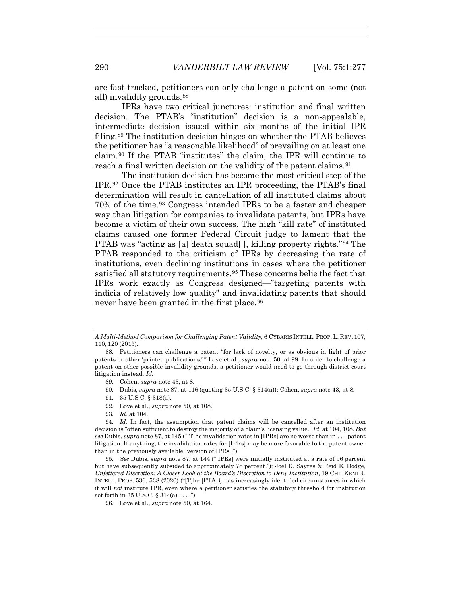are fast-tracked, petitioners can only challenge a patent on some (not all) invalidity grounds.<sup>88</sup>

IPRs have two critical junctures: institution and final written decision. The PTAB's "institution" decision is a non-appealable, intermediate decision issued within six months of the initial IPR filing.89 The institution decision hinges on whether the PTAB believes the petitioner has "a reasonable likelihood" of prevailing on at least one claim.90 If the PTAB "institutes" the claim, the IPR will continue to reach a final written decision on the validity of the patent claims.<sup>91</sup>

The institution decision has become the most critical step of the IPR.92 Once the PTAB institutes an IPR proceeding, the PTAB's final determination will result in cancellation of all instituted claims about 70% of the time.93 Congress intended IPRs to be a faster and cheaper way than litigation for companies to invalidate patents, but IPRs have become a victim of their own success. The high "kill rate" of instituted claims caused one former Federal Circuit judge to lament that the PTAB was "acting as [a] death squad[ ], killing property rights."94 The PTAB responded to the criticism of IPRs by decreasing the rate of institutions, even declining institutions in cases where the petitioner satisfied all statutory requirements.95 These concerns belie the fact that IPRs work exactly as Congress designed—"targeting patents with indicia of relatively low quality" and invalidating patents that should never have been granted in the first place.<sup>96</sup>

- 89. Cohen, *supra* note 43, at 8.
- 90. Dubis, *supra* note 87, at 116 (quoting 35 U.S.C. § 314(a)); Cohen, *supra* note 43, at 8.
- 91. 35 U.S.C. § 318(a).
- 92. Love et al., *supra* note 50, at 108.
- 93*. Id.* at 104.

95*. See* Dubis, *supra* note 87, at 144 ("[IPRs] were initially instituted at a rate of 96 percent but have subsequently subsided to approximately 78 percent."); Joel D. Sayres & Reid E. Dodge, *Unfettered Discretion: A Closer Look at the Board's Discretion to Deny Institution*, 19 CHI.-KENT J. INTELL. PROP. 536, 538 (2020) ("[T]he [PTAB] has increasingly identified circumstances in which it will *not* institute IPR, even where a petitioner satisfies the statutory threshold for institution set forth in  $35 \text{ U.S.C.} \$  $314(a) \ldots$ .").

96. Love et al., *supra* note 50, at 164.

*A Multi-Method Comparison for Challenging Patent Validity*, 6 CYBARIS INTELL. PROP. L. REV. 107, 110, 120 (2015).

 <sup>88.</sup> Petitioners can challenge a patent "for lack of novelty, or as obvious in light of prior patents or other 'printed publications.' " Love et al., *supra* note 50, at 99. In order to challenge a patent on other possible invalidity grounds, a petitioner would need to go through district court litigation instead. *Id.*

<sup>94</sup>*. Id.* In fact, the assumption that patent claims will be cancelled after an institution decision is "often sufficient to destroy the majority of a claim's licensing value." *Id.* at 104, 108. *But see* Dubis, *supra* note 87, at 145 ("[T]he invalidation rates in [IPRs] are no worse than in . . . patent litigation. If anything, the invalidation rates for [IPRs] may be more favorable to the patent owner than in the previously available [version of IPRs].").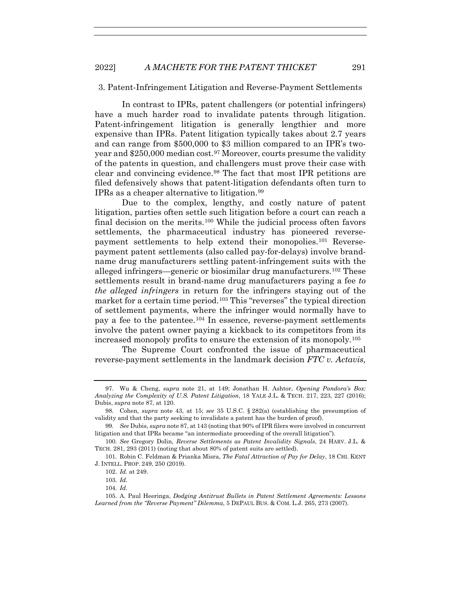#### 3. Patent-Infringement Litigation and Reverse-Payment Settlements

In contrast to IPRs, patent challengers (or potential infringers) have a much harder road to invalidate patents through litigation. Patent-infringement litigation is generally lengthier and more expensive than IPRs. Patent litigation typically takes about 2.7 years and can range from \$500,000 to \$3 million compared to an IPR's twoyear and \$250,000 median cost.<sup>97</sup> Moreover, courts presume the validity of the patents in question, and challengers must prove their case with clear and convincing evidence.98 The fact that most IPR petitions are filed defensively shows that patent-litigation defendants often turn to IPRs as a cheaper alternative to litigation.99

Due to the complex, lengthy, and costly nature of patent litigation, parties often settle such litigation before a court can reach a final decision on the merits.<sup>100</sup> While the judicial process often favors settlements, the pharmaceutical industry has pioneered reversepayment settlements to help extend their monopolies.101 Reversepayment patent settlements (also called pay-for-delays) involve brandname drug manufacturers settling patent-infringement suits with the alleged infringers—generic or biosimilar drug manufacturers.102 These settlements result in brand-name drug manufacturers paying a fee *to the alleged infringers* in return for the infringers staying out of the market for a certain time period.<sup>103</sup> This "reverses" the typical direction of settlement payments, where the infringer would normally have to pay a fee to the patentee.<sup>104</sup> In essence, reverse-payment settlements involve the patent owner paying a kickback to its competitors from its increased monopoly profits to ensure the extension of its monopoly.105

The Supreme Court confronted the issue of pharmaceutical reverse-payment settlements in the landmark decision *FTC v. Actavis,* 

 <sup>97.</sup> Wu & Cheng, *supra* note 21, at 149; Jonathan H. Ashtor, *Opening Pandora's Box: Analyzing the Complexity of U.S. Patent Litigation*, 18 YALE J.L. & TECH. 217, 223, 227 (2016); Dubis, *supra* note 87, at 120.

 <sup>98.</sup> Cohen, *supra* note 43, at 15; *see* 35 U.S.C. § 282(a) (establishing the presumption of validity and that the party seeking to invalidate a patent has the burden of proof).

<sup>99</sup>*. See* Dubis, *supra* note 87, at 143 (noting that 90% of IPR filers were involved in concurrent litigation and that IPRs became "an intermediate proceeding of the overall litigation").

<sup>100</sup>*. See* Gregory Dolin, *Reverse Settlements as Patent Invalidity Signals*, 24 HARV. J.L. & TECH. 281, 293 (2011) (noting that about 80% of patent suits are settled).

<sup>101</sup>*.* Robin C. Feldman & Prianka Misra, *The Fatal Attraction of Pay for Delay*, 18 CHI. KENT J. INTELL. PROP. 249, 250 (2019).

 <sup>102.</sup> *Id.* at 249.

<sup>103</sup>*. Id.*

<sup>104</sup>*. Id.*

 <sup>105.</sup> A. Paul Heeringa, *Dodging Antitrust Bullets in Patent Settlement Agreements: Lessons Learned from the "Reverse Payment" Dilemma*, 5 DEPAUL BUS. & COM. L.J. 265, 273 (2007).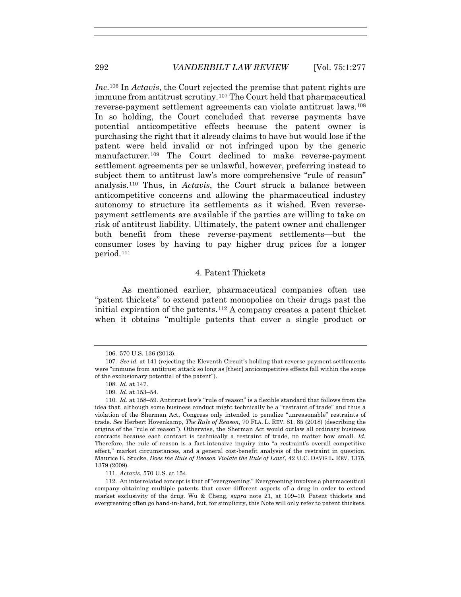*Inc*.106 In *Actavis*, the Court rejected the premise that patent rights are immune from antitrust scrutiny.107 The Court held that pharmaceutical reverse-payment settlement agreements can violate antitrust laws.108 In so holding, the Court concluded that reverse payments have potential anticompetitive effects because the patent owner is purchasing the right that it already claims to have but would lose if the patent were held invalid or not infringed upon by the generic manufacturer.<sup>109</sup> The Court declined to make reverse-payment settlement agreements per se unlawful, however, preferring instead to subject them to antitrust law's more comprehensive "rule of reason" analysis.110 Thus, in *Actavis*, the Court struck a balance between anticompetitive concerns and allowing the pharmaceutical industry autonomy to structure its settlements as it wished. Even reversepayment settlements are available if the parties are willing to take on risk of antitrust liability. Ultimately, the patent owner and challenger both benefit from these reverse-payment settlements—but the consumer loses by having to pay higher drug prices for a longer period.111

## 4. Patent Thickets

As mentioned earlier, pharmaceutical companies often use "patent thickets" to extend patent monopolies on their drugs past the initial expiration of the patents.112 A company creates a patent thicket when it obtains "multiple patents that cover a single product or

111*. Actavis*, 570 U.S. at 154.

 <sup>106. 570</sup> U.S. 136 (2013).

<sup>107</sup>*. See id.* at 141 (rejecting the Eleventh Circuit's holding that reverse-payment settlements were "immune from antitrust attack so long as [their] anticompetitive effects fall within the scope of the exclusionary potential of the patent").

<sup>108</sup>*. Id.* at 147.

<sup>109</sup>*. Id.* at 153–54.

<sup>110</sup>*. Id.* at 158–59. Antitrust law's "rule of reason" is a flexible standard that follows from the idea that, although some business conduct might technically be a "restraint of trade" and thus a violation of the Sherman Act, Congress only intended to penalize "unreasonable" restraints of trade. *See* Herbert Hovenkamp, *The Rule of Reason*, 70 FLA. L. REV. 81, 85 (2018) (describing the origins of the "rule of reason"). Otherwise, the Sherman Act would outlaw all ordinary business contracts because each contract is technically a restraint of trade, no matter how small. *Id.*  Therefore, the rule of reason is a fact-intensive inquiry into "a restraint's overall competitive effect," market circumstances, and a general cost-benefit analysis of the restraint in question. Maurice E. Stucke, *Does the Rule of Reason Violate the Rule of Law?*, 42 U.C. DAVIS L. REV. 1375, 1379 (2009).

 <sup>112.</sup> An interrelated concept is that of "evergreening." Evergreening involves a pharmaceutical company obtaining multiple patents that cover different aspects of a drug in order to extend market exclusivity of the drug. Wu & Cheng, *supra* note 21, at 109–10. Patent thickets and evergreening often go hand-in-hand, but, for simplicity, this Note will only refer to patent thickets.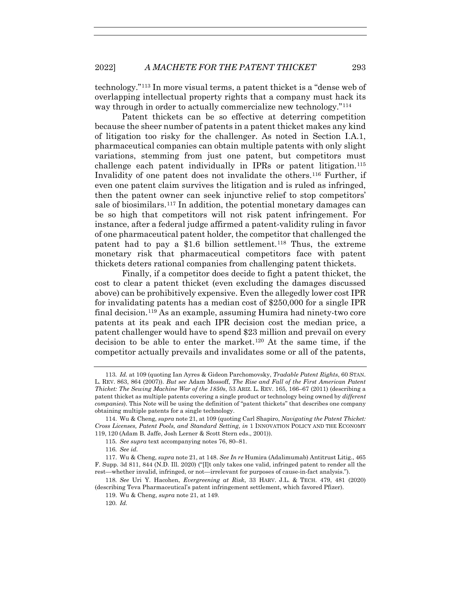technology."113 In more visual terms, a patent thicket is a "dense web of overlapping intellectual property rights that a company must hack its way through in order to actually commercialize new technology."<sup>114</sup>

Patent thickets can be so effective at deterring competition because the sheer number of patents in a patent thicket makes any kind of litigation too risky for the challenger. As noted in Section I.A.1, pharmaceutical companies can obtain multiple patents with only slight variations, stemming from just one patent, but competitors must challenge each patent individually in IPRs or patent litigation.115 Invalidity of one patent does not invalidate the others.116 Further, if even one patent claim survives the litigation and is ruled as infringed, then the patent owner can seek injunctive relief to stop competitors' sale of biosimilars.117 In addition, the potential monetary damages can be so high that competitors will not risk patent infringement. For instance, after a federal judge affirmed a patent-validity ruling in favor of one pharmaceutical patent holder, the competitor that challenged the patent had to pay a \$1.6 billion settlement.<sup>118</sup> Thus, the extreme monetary risk that pharmaceutical competitors face with patent thickets deters rational companies from challenging patent thickets.

Finally, if a competitor does decide to fight a patent thicket, the cost to clear a patent thicket (even excluding the damages discussed above) can be prohibitively expensive. Even the allegedly lower cost IPR for invalidating patents has a median cost of \$250,000 for a single IPR final decision.119 As an example, assuming Humira had ninety-two core patents at its peak and each IPR decision cost the median price, a patent challenger would have to spend \$23 million and prevail on every decision to be able to enter the market.120 At the same time, if the competitor actually prevails and invalidates some or all of the patents,

120*. Id.*

<sup>113</sup>*. Id.* at 109 (quoting Ian Ayres & Gideon Parchomovsky, *Tradable Patent Rights*, 60 STAN. L. REV. 863, 864 (2007)). *But see* Adam Mossoff, *The Rise and Fall of the First American Patent Thicket: The Sewing Machine War of the 1850s*, 53 ARIZ. L. REV. 165, 166–67 (2011) (describing a patent thicket as multiple patents covering a single product or technology being owned by *different companies*). This Note will be using the definition of "patent thickets" that describes one company obtaining multiple patents for a single technology.

 <sup>114.</sup> Wu & Cheng, *supra* note 21, at 109 (quoting Carl Shapiro, *Navigating the Patent Thicket: Cross Licenses, Patent Pools, and Standard Setting*, *in* 1 INNOVATION POLICY AND THE ECONOMY 119, 120 (Adam B. Jaffe, Josh Lerner & Scott Stern eds., 2001)).

<sup>115</sup>*. See supra* text accompanying notes 76, 80–81.

<sup>116</sup>*. See id.*

 <sup>117.</sup> Wu & Cheng, *supra* note 21, at 148. *See In re* Humira (Adalimumab) Antitrust Litig., 465 F. Supp. 3d 811, 844 (N.D. Ill. 2020) ("[I]t only takes one valid, infringed patent to render all the rest—whether invalid, infringed, or not—irrelevant for purposes of cause-in-fact analysis.").

<sup>118</sup>*. See* Uri Y. Hacohen, *Evergreening at Risk*, 33 HARV. J.L. & TECH. 479, 481 (2020) (describing Teva Pharmaceutical's patent infringement settlement, which favored Pfizer).

 <sup>119.</sup> Wu & Cheng, *supra* note 21, at 149.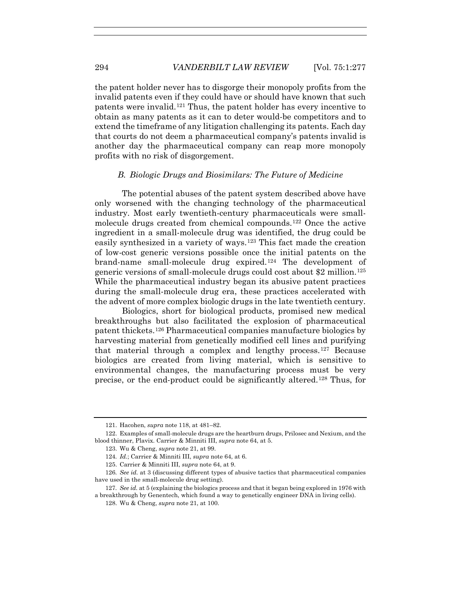the patent holder never has to disgorge their monopoly profits from the invalid patents even if they could have or should have known that such patents were invalid.121 Thus, the patent holder has every incentive to obtain as many patents as it can to deter would-be competitors and to extend the timeframe of any litigation challenging its patents. Each day that courts do not deem a pharmaceutical company's patents invalid is another day the pharmaceutical company can reap more monopoly profits with no risk of disgorgement.

## *B. Biologic Drugs and Biosimilars: The Future of Medicine*

The potential abuses of the patent system described above have only worsened with the changing technology of the pharmaceutical industry. Most early twentieth-century pharmaceuticals were smallmolecule drugs created from chemical compounds.122 Once the active ingredient in a small-molecule drug was identified, the drug could be easily synthesized in a variety of ways.123 This fact made the creation of low-cost generic versions possible once the initial patents on the brand-name small-molecule drug expired.124 The development of generic versions of small-molecule drugs could cost about \$2 million.125 While the pharmaceutical industry began its abusive patent practices during the small-molecule drug era, these practices accelerated with the advent of more complex biologic drugs in the late twentieth century.

Biologics, short for biological products, promised new medical breakthroughs but also facilitated the explosion of pharmaceutical patent thickets.126 Pharmaceutical companies manufacture biologics by harvesting material from genetically modified cell lines and purifying that material through a complex and lengthy process.127 Because biologics are created from living material, which is sensitive to environmental changes, the manufacturing process must be very precise, or the end-product could be significantly altered.128 Thus, for

 <sup>121.</sup> Hacohen, *supra* note 118, at 481–82.

 <sup>122.</sup> Examples of small-molecule drugs are the heartburn drugs, Prilosec and Nexium, and the blood thinner, Plavix. Carrier & Minniti III, *supra* note 64, at 5.

 <sup>123.</sup> Wu & Cheng, *supra* note 21, at 99.

<sup>124</sup>*. Id.*; Carrier & Minniti III, *supra* note 64, at 6.

 <sup>125.</sup> Carrier & Minniti III, *supra* note 64, at 9.

<sup>126</sup>*. See id.* at 3 (discussing different types of abusive tactics that pharmaceutical companies have used in the small-molecule drug setting).

<sup>127</sup>*. See id.* at 5 (explaining the biologics process and that it began being explored in 1976 with a breakthrough by Genentech, which found a way to genetically engineer DNA in living cells).

 <sup>128.</sup> Wu & Cheng, *supra* note 21, at 100.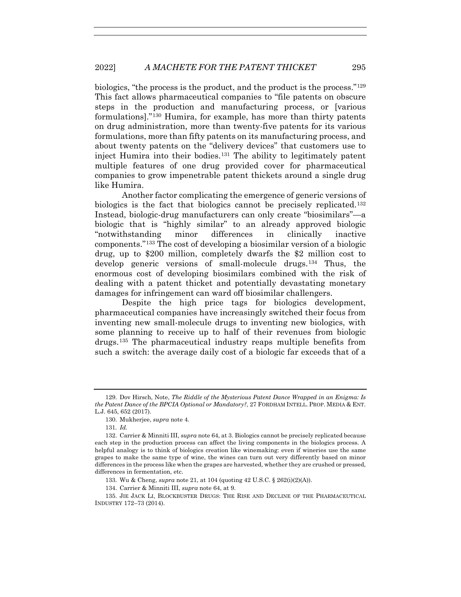biologics, "the process is the product, and the product is the process."129 This fact allows pharmaceutical companies to "file patents on obscure steps in the production and manufacturing process, or [various formulations]."130 Humira, for example, has more than thirty patents on drug administration, more than twenty-five patents for its various formulations, more than fifty patents on its manufacturing process, and about twenty patents on the "delivery devices" that customers use to inject Humira into their bodies.131 The ability to legitimately patent multiple features of one drug provided cover for pharmaceutical companies to grow impenetrable patent thickets around a single drug like Humira.

Another factor complicating the emergence of generic versions of biologics is the fact that biologics cannot be precisely replicated.132 Instead, biologic-drug manufacturers can only create "biosimilars"—a biologic that is "highly similar" to an already approved biologic "notwithstanding minor differences in clinically inactive components."133 The cost of developing a biosimilar version of a biologic drug, up to \$200 million, completely dwarfs the \$2 million cost to develop generic versions of small-molecule drugs.134 Thus, the enormous cost of developing biosimilars combined with the risk of dealing with a patent thicket and potentially devastating monetary damages for infringement can ward off biosimilar challengers.

Despite the high price tags for biologics development, pharmaceutical companies have increasingly switched their focus from inventing new small-molecule drugs to inventing new biologics, with some planning to receive up to half of their revenues from biologic drugs.135 The pharmaceutical industry reaps multiple benefits from such a switch: the average daily cost of a biologic far exceeds that of a

133. Wu & Cheng, *supra* note 21, at 104 (quoting 42 U.S.C. § 262(i)(2)(A)).

134. Carrier & Minniti III, *supra* note 64, at 9.

 135. JIE JACK LI, BLOCKBUSTER DRUGS: THE RISE AND DECLINE OF THE PHARMACEUTICAL INDUSTRY 172–73 (2014).

 <sup>129.</sup> Dov Hirsch, Note, *The Riddle of the Mysterious Patent Dance Wrapped in an Enigma: Is the Patent Dance of the BPCIA Optional or Mandatory?*, 27 FORDHAM INTELL. PROP. MEDIA & ENT. L.J. 645, 652 (2017).

 <sup>130.</sup> Mukherjee, *supra* note 4.

<sup>131</sup>*. Id.*

 <sup>132.</sup> Carrier & Minniti III, *supra* note 64, at 3. Biologics cannot be precisely replicated because each step in the production process can affect the living components in the biologics process. A helpful analogy is to think of biologics creation like winemaking: even if wineries use the same grapes to make the same type of wine, the wines can turn out very differently based on minor differences in the process like when the grapes are harvested, whether they are crushed or pressed, differences in fermentation, etc.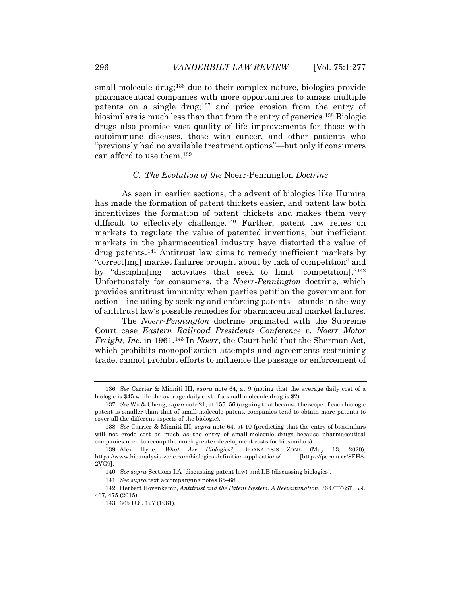small-molecule drug;<sup>136</sup> due to their complex nature, biologics provide pharmaceutical companies with more opportunities to amass multiple patents on a single drug;137 and price erosion from the entry of biosimilars is much less than that from the entry of generics.138 Biologic drugs also promise vast quality of life improvements for those with autoimmune diseases, those with cancer, and other patients who "previously had no available treatment options"—but only if consumers can afford to use them.139

## *C. The Evolution of the* Noerr-Pennington *Doctrine*

As seen in earlier sections, the advent of biologics like Humira has made the formation of patent thickets easier, and patent law both incentivizes the formation of patent thickets and makes them very difficult to effectively challenge.140 Further, patent law relies on markets to regulate the value of patented inventions, but inefficient markets in the pharmaceutical industry have distorted the value of drug patents.141 Antitrust law aims to remedy inefficient markets by "correct[ing] market failures brought about by lack of competition" and by "disciplin[ing] activities that seek to limit [competition]."142 Unfortunately for consumers, the *Noerr-Pennington* doctrine, which provides antitrust immunity when parties petition the government for action—including by seeking and enforcing patents—stands in the way of antitrust law's possible remedies for pharmaceutical market failures.

The *Noerr-Pennington* doctrine originated with the Supreme Court case *Eastern Railroad Presidents Conference v. Noerr Motor Freight, Inc.* in 1961.143 In *Noerr*, the Court held that the Sherman Act, which prohibits monopolization attempts and agreements restraining trade, cannot prohibit efforts to influence the passage or enforcement of

<sup>136</sup>*. See* Carrier & Minniti III, *supra* note 64, at 9 (noting that the average daily cost of a biologic is \$45 while the average daily cost of a small-molecule drug is \$2).

<sup>137</sup>*. See* Wu & Cheng, *supra* note 21, at 155–56 (arguing that because the scope of each biologic patent is smaller than that of small-molecule patent, companies tend to obtain more patents to cover all the different aspects of the biologic).

<sup>138</sup>*. See* Carrier & Minniti III, *supra* note 64, at 10 (predicting that the entry of biosimilars will not erode cost as much as the entry of small-molecule drugs because pharmaceutical companies need to recoup the much greater development costs for biosimilars).

 <sup>139.</sup> Alex Hyde, *What Are Biologics?*, BIOANALYSIS ZONE (May 13, 2020), https://www.bioanalysis-zone.com/biologics-definition-applications/ [https://perma.cc/8FH8- 2VG9].

<sup>140</sup>*. See supra* Sections I.A (discussing patent law) and I.B (discussing biologics).

<sup>141</sup>*. See supra* text accompanying notes 65–68.

 <sup>142.</sup> Herbert Hovenkamp, *Antitrust and the Patent System: A Reexamination*, 76 OHIO ST. L.J. 467, 475 (2015).

 <sup>143. 365</sup> U.S. 127 (1961).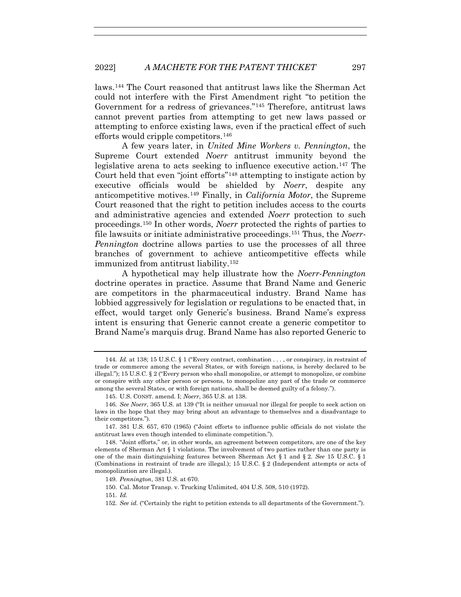laws.144 The Court reasoned that antitrust laws like the Sherman Act could not interfere with the First Amendment right "to petition the Government for a redress of grievances."145 Therefore, antitrust laws cannot prevent parties from attempting to get new laws passed or attempting to enforce existing laws, even if the practical effect of such efforts would cripple competitors.146

A few years later, in *United Mine Workers v. Pennington*, the Supreme Court extended *Noerr* antitrust immunity beyond the legislative arena to acts seeking to influence executive action.147 The Court held that even "joint efforts"148 attempting to instigate action by executive officials would be shielded by *Noerr*, despite any anticompetitive motives.149 Finally, in *California Motor*, the Supreme Court reasoned that the right to petition includes access to the courts and administrative agencies and extended *Noerr* protection to such proceedings.150 In other words, *Noerr* protected the rights of parties to file lawsuits or initiate administrative proceedings.151 Thus, the *Noerr-Pennington* doctrine allows parties to use the processes of all three branches of government to achieve anticompetitive effects while immunized from antitrust liability.152

A hypothetical may help illustrate how the *Noerr-Pennington*  doctrine operates in practice. Assume that Brand Name and Generic are competitors in the pharmaceutical industry. Brand Name has lobbied aggressively for legislation or regulations to be enacted that, in effect, would target only Generic's business. Brand Name's express intent is ensuring that Generic cannot create a generic competitor to Brand Name's marquis drug. Brand Name has also reported Generic to

<sup>144</sup>*. Id.* at 138; 15 U.S.C. § 1 ("Every contract, combination . . . , or conspiracy, in restraint of trade or commerce among the several States, or with foreign nations, is hereby declared to be illegal."); 15 U.S.C. § 2 ("Every person who shall monopolize, or attempt to monopolize, or combine or conspire with any other person or persons, to monopolize any part of the trade or commerce among the several States, or with foreign nations, shall be deemed guilty of a felony.").

 <sup>145.</sup> U.S. CONST. amend. I; *Noerr*, 365 U.S. at 138.

<sup>146</sup>*. See Noerr*, 365 U.S. at 139 ("It is neither unusual nor illegal for people to seek action on laws in the hope that they may bring about an advantage to themselves and a disadvantage to their competitors.").

 <sup>147. 381</sup> U.S. 657, 670 (1965) ("Joint efforts to influence public officials do not violate the antitrust laws even though intended to eliminate competition.").

 <sup>148. &</sup>quot;Joint efforts," or, in other words, an agreement between competitors, are one of the key elements of Sherman Act § 1 violations. The involvement of two parties rather than one party is one of the main distinguishing features between Sherman Act § 1 and § 2. *See* 15 U.S.C. § 1 (Combinations in restraint of trade are illegal.); 15 U.S.C. § 2 (Independent attempts or acts of monopolization are illegal.).

<sup>149</sup>*. Pennington*, 381 U.S. at 670.

 <sup>150.</sup> Cal. Motor Transp. v. Trucking Unlimited, 404 U.S. 508, 510 (1972).

<sup>151</sup>*. Id.*

<sup>152</sup>*. See id.* ("Certainly the right to petition extends to all departments of the Government.").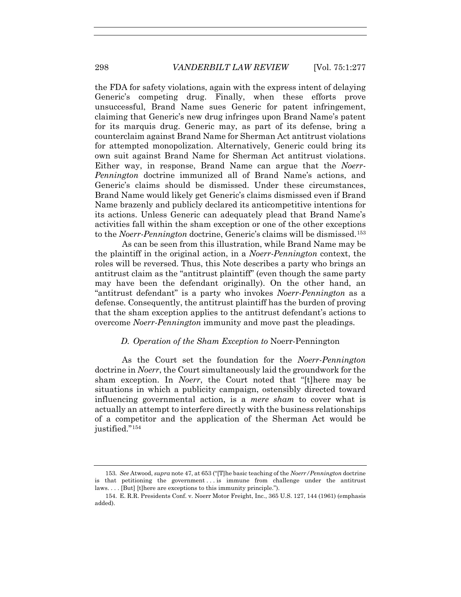the FDA for safety violations, again with the express intent of delaying Generic's competing drug. Finally, when these efforts prove unsuccessful, Brand Name sues Generic for patent infringement, claiming that Generic's new drug infringes upon Brand Name's patent for its marquis drug. Generic may, as part of its defense, bring a counterclaim against Brand Name for Sherman Act antitrust violations for attempted monopolization. Alternatively, Generic could bring its own suit against Brand Name for Sherman Act antitrust violations. Either way, in response, Brand Name can argue that the *Noerr-Pennington* doctrine immunized all of Brand Name's actions, and Generic's claims should be dismissed. Under these circumstances, Brand Name would likely get Generic's claims dismissed even if Brand Name brazenly and publicly declared its anticompetitive intentions for its actions. Unless Generic can adequately plead that Brand Name's activities fall within the sham exception or one of the other exceptions to the *Noerr-Pennington* doctrine, Generic's claims will be dismissed.153

As can be seen from this illustration, while Brand Name may be the plaintiff in the original action, in a *Noerr-Pennington* context, the roles will be reversed. Thus, this Note describes a party who brings an antitrust claim as the "antitrust plaintiff" (even though the same party may have been the defendant originally). On the other hand, an "antitrust defendant" is a party who invokes *Noerr-Pennington* as a defense. Consequently, the antitrust plaintiff has the burden of proving that the sham exception applies to the antitrust defendant's actions to overcome *Noerr-Pennington* immunity and move past the pleadings.

## *D. Operation of the Sham Exception to* Noerr-Pennington

As the Court set the foundation for the *Noerr-Pennington*  doctrine in *Noerr*, the Court simultaneously laid the groundwork for the sham exception. In *Noerr*, the Court noted that "[t]here may be situations in which a publicity campaign, ostensibly directed toward influencing governmental action, is a *mere sham* to cover what is actually an attempt to interfere directly with the business relationships of a competitor and the application of the Sherman Act would be justified."<sup>154</sup>

<sup>153</sup>*. See* Atwood, *supra* note 47, at 653 ("[T]he basic teaching of the *Noerr/Pennington* doctrine is that petitioning the government . . . is immune from challenge under the antitrust laws. . . . [But] [t]here are exceptions to this immunity principle.").

 <sup>154.</sup> E. R.R. Presidents Conf. v. Noerr Motor Freight, Inc., 365 U.S. 127, 144 (1961) (emphasis added).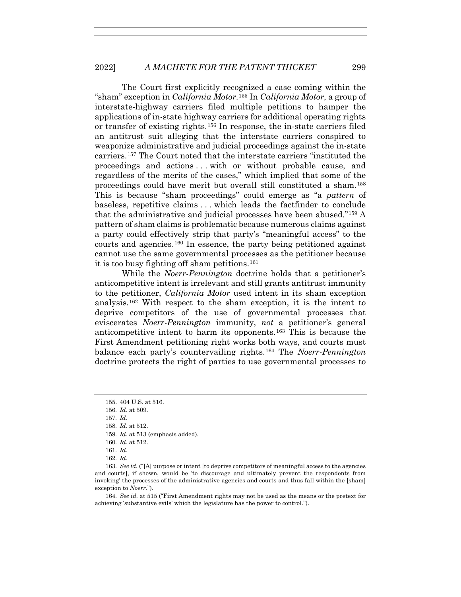The Court first explicitly recognized a case coming within the "sham" exception in *California Motor*.155 In *California Motor*, a group of interstate-highway carriers filed multiple petitions to hamper the applications of in-state highway carriers for additional operating rights or transfer of existing rights.156 In response, the in-state carriers filed an antitrust suit alleging that the interstate carriers conspired to weaponize administrative and judicial proceedings against the in-state carriers.157 The Court noted that the interstate carriers "instituted the proceedings and actions . . . with or without probable cause, and regardless of the merits of the cases," which implied that some of the proceedings could have merit but overall still constituted a sham.158 This is because "sham proceedings" could emerge as "a *pattern* of baseless, repetitive claims . . . which leads the factfinder to conclude that the administrative and judicial processes have been abused."159 A pattern of sham claims is problematic because numerous claims against a party could effectively strip that party's "meaningful access" to the courts and agencies.<sup>160</sup> In essence, the party being petitioned against cannot use the same governmental processes as the petitioner because it is too busy fighting off sham petitions.161

While the *Noerr-Pennington* doctrine holds that a petitioner's anticompetitive intent is irrelevant and still grants antitrust immunity to the petitioner, *California Motor* used intent in its sham exception analysis.<sup>162</sup> With respect to the sham exception, it is the intent to deprive competitors of the use of governmental processes that eviscerates *Noerr-Pennington* immunity, *not* a petitioner's general anticompetitive intent to harm its opponents.163 This is because the First Amendment petitioning right works both ways, and courts must balance each party's countervailing rights.164 The *Noerr-Pennington* doctrine protects the right of parties to use governmental processes to

164*. See id.* at 515 ("First Amendment rights may not be used as the means or the pretext for achieving 'substantive evils' which the legislature has the power to control.").

 <sup>155. 404</sup> U.S. at 516.

<sup>156</sup>*. Id.* at 509.

<sup>157</sup>*. Id.*

<sup>158</sup>*. Id.* at 512.

<sup>159</sup>*. Id.* at 513 (emphasis added).

<sup>160</sup>*. Id.* at 512.

<sup>161</sup>*. Id.*

<sup>162</sup>*. Id.* 

<sup>163</sup>*. See id.* ("[A] purpose or intent [to deprive competitors of meaningful access to the agencies and courts], if shown, would be 'to discourage and ultimately prevent the respondents from invoking' the processes of the administrative agencies and courts and thus fall within the [sham] exception to *Noerr*.").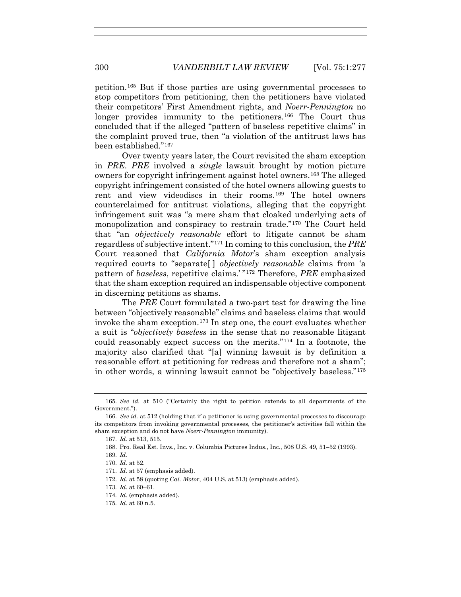petition.165 But if those parties are using governmental processes to stop competitors from petitioning, then the petitioners have violated their competitors' First Amendment rights, and *Noerr-Pennington* no longer provides immunity to the petitioners.166 The Court thus concluded that if the alleged "pattern of baseless repetitive claims" in the complaint proved true, then "a violation of the antitrust laws has been established."167

Over twenty years later, the Court revisited the sham exception in *PRE*. *PRE* involved a *single* lawsuit brought by motion picture owners for copyright infringement against hotel owners.168 The alleged copyright infringement consisted of the hotel owners allowing guests to rent and view videodiscs in their rooms.169 The hotel owners counterclaimed for antitrust violations, alleging that the copyright infringement suit was "a mere sham that cloaked underlying acts of monopolization and conspiracy to restrain trade."170 The Court held that "an *objectively reasonable* effort to litigate cannot be sham regardless of subjective intent."171 In coming to this conclusion, the *PRE* Court reasoned that *California Motor*'s sham exception analysis required courts to "separate[ ] *objectively reasonable* claims from 'a pattern of *baseless*, repetitive claims.' "172 Therefore, *PRE* emphasized that the sham exception required an indispensable objective component in discerning petitions as shams.

The *PRE* Court formulated a two-part test for drawing the line between "objectively reasonable" claims and baseless claims that would invoke the sham exception.<sup>173</sup> In step one, the court evaluates whether a suit is "*objectively baseless* in the sense that no reasonable litigant could reasonably expect success on the merits."174 In a footnote, the majority also clarified that "[a] winning lawsuit is by definition a reasonable effort at petitioning for redress and therefore not a sham"; in other words, a winning lawsuit cannot be "objectively baseless."175

171*. Id.* at 57 (emphasis added).

- 174*. Id.* (emphasis added).
- 175*. Id.* at 60 n.5.

<sup>165</sup>*. See id.* at 510 ("Certainly the right to petition extends to all departments of the Government.").

<sup>166</sup>*. See id.* at 512 (holding that if a petitioner is using governmental processes to discourage its competitors from invoking governmental processes, the petitioner's activities fall within the sham exception and do not have *Noerr-Pennington* immunity).

<sup>167</sup>*. Id.* at 513, 515.

 <sup>168.</sup> Pro. Real Est. Invs., Inc. v. Columbia Pictures Indus., Inc., 508 U.S. 49, 51–52 (1993).

<sup>169</sup>*. Id.*

<sup>170</sup>*. Id.* at 52.

<sup>172</sup>*. Id.* at 58 (quoting *Cal. Motor*, 404 U.S. at 513) (emphasis added).

<sup>173</sup>*. Id.* at 60–61.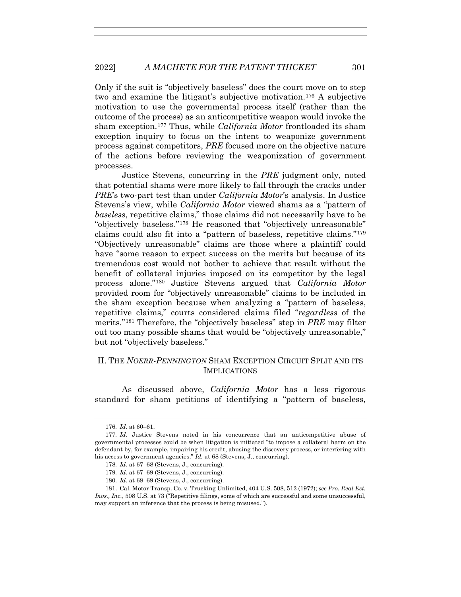Only if the suit is "objectively baseless" does the court move on to step two and examine the litigant's subjective motivation.176 A subjective motivation to use the governmental process itself (rather than the outcome of the process) as an anticompetitive weapon would invoke the sham exception.177 Thus, while *California Motor* frontloaded its sham exception inquiry to focus on the intent to weaponize government process against competitors, *PRE* focused more on the objective nature of the actions before reviewing the weaponization of government processes.

Justice Stevens, concurring in the *PRE* judgment only, noted that potential shams were more likely to fall through the cracks under *PRE*'s two-part test than under *California Motor*'s analysis. In Justice Stevens's view, while *California Motor* viewed shams as a "pattern of *baseless*, repetitive claims," those claims did not necessarily have to be "objectively baseless."178 He reasoned that "objectively unreasonable" claims could also fit into a "pattern of baseless, repetitive claims."179 "Objectively unreasonable" claims are those where a plaintiff could have "some reason to expect success on the merits but because of its tremendous cost would not bother to achieve that result without the benefit of collateral injuries imposed on its competitor by the legal process alone."180 Justice Stevens argued that *California Motor* provided room for "objectively unreasonable" claims to be included in the sham exception because when analyzing a "pattern of baseless, repetitive claims," courts considered claims filed "*regardless* of the merits."181 Therefore, the "objectively baseless" step in *PRE* may filter out too many possible shams that would be "objectively unreasonable," but not "objectively baseless."

# II. THE *NOERR-PENNINGTON* SHAM EXCEPTION CIRCUIT SPLIT AND ITS IMPLICATIONS

As discussed above, *California Motor* has a less rigorous standard for sham petitions of identifying a "pattern of baseless,

<sup>176</sup>*. Id.* at 60–61.

<sup>177</sup>*. Id.* Justice Stevens noted in his concurrence that an anticompetitive abuse of governmental processes could be when litigation is initiated "to impose a collateral harm on the defendant by, for example, impairing his credit, abusing the discovery process, or interfering with his access to government agencies." *Id.* at 68 (Stevens, J., concurring).

<sup>178</sup>*. Id.* at 67–68 (Stevens, J., concurring).

<sup>179</sup>*. Id.* at 67–69 (Stevens, J., concurring).

<sup>180</sup>*. Id.* at 68–69 (Stevens, J., concurring).

 <sup>181.</sup> Cal. Motor Transp. Co. v. Trucking Unlimited, 404 U.S. 508, 512 (1972); *see Pro. Real Est. Invs., Inc.*, 508 U.S. at 73 ("Repetitive filings, some of which are successful and some unsuccessful, may support an inference that the process is being misused.").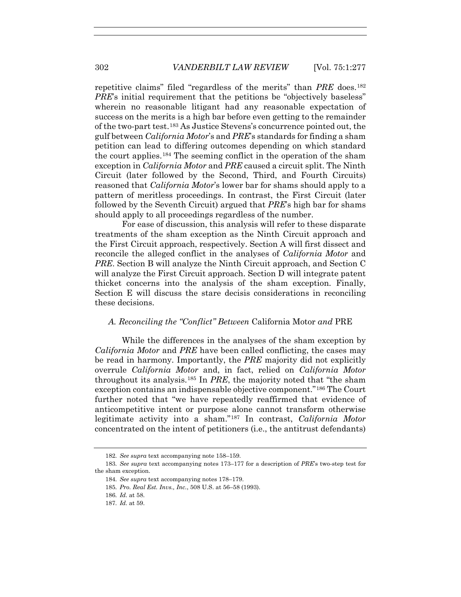repetitive claims" filed "regardless of the merits" than *PRE* does.182 *PRE*'s initial requirement that the petitions be "objectively baseless" wherein no reasonable litigant had any reasonable expectation of success on the merits is a high bar before even getting to the remainder of the two-part test.183 As Justice Stevens's concurrence pointed out, the gulf between *California Motor*'s and *PRE*'s standards for finding a sham petition can lead to differing outcomes depending on which standard the court applies.184 The seeming conflict in the operation of the sham exception in *California Motor* and *PRE* caused a circuit split. The Ninth Circuit (later followed by the Second, Third, and Fourth Circuits) reasoned that *California Motor*'s lower bar for shams should apply to a pattern of meritless proceedings. In contrast, the First Circuit (later followed by the Seventh Circuit) argued that *PRE*'s high bar for shams should apply to all proceedings regardless of the number.

For ease of discussion, this analysis will refer to these disparate treatments of the sham exception as the Ninth Circuit approach and the First Circuit approach, respectively. Section A will first dissect and reconcile the alleged conflict in the analyses of *California Motor* and *PRE*. Section B will analyze the Ninth Circuit approach, and Section C will analyze the First Circuit approach. Section D will integrate patent thicket concerns into the analysis of the sham exception. Finally, Section E will discuss the stare decisis considerations in reconciling these decisions.

#### *A. Reconciling the "Conflict" Between* California Motor *and* PRE

While the differences in the analyses of the sham exception by *California Motor* and *PRE* have been called conflicting, the cases may be read in harmony. Importantly, the *PRE* majority did not explicitly overrule *California Motor* and, in fact, relied on *California Motor*  throughout its analysis.185 In *PRE*, the majority noted that "the sham exception contains an indispensable objective component."186 The Court further noted that "we have repeatedly reaffirmed that evidence of anticompetitive intent or purpose alone cannot transform otherwise legitimate activity into a sham."187 In contrast, *California Motor* concentrated on the intent of petitioners (i.e., the antitrust defendants)

<sup>182</sup>*. See supra* text accompanying note 158–159.

<sup>183</sup>*. See supra* text accompanying notes 173–177 for a description of *PRE*'s two-step test for the sham exception.

<sup>184</sup>*. See supra* text accompanying notes 178–179.

<sup>185</sup>*. Pro. Real Est. Invs., Inc.*, 508 U.S. at 56–58 (1993).

<sup>186</sup>*. Id.* at 58.

<sup>187</sup>*. Id.* at 59.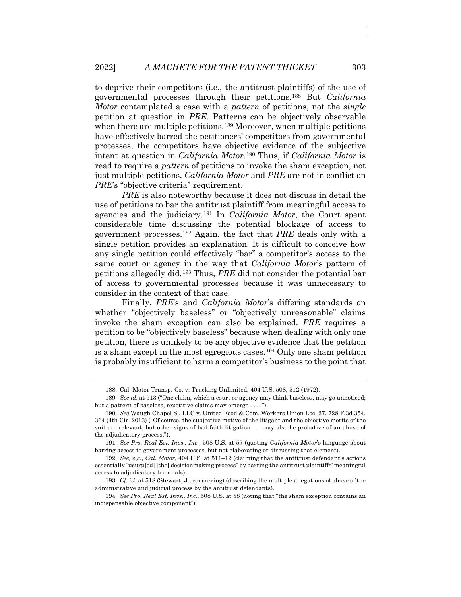to deprive their competitors (i.e., the antitrust plaintiffs) of the use of governmental processes through their petitions.188 But *California Motor* contemplated a case with a *pattern* of petitions, not the *single* petition at question in *PRE*. Patterns can be objectively observable when there are multiple petitions.<sup>189</sup> Moreover, when multiple petitions have effectively barred the petitioners' competitors from governmental processes, the competitors have objective evidence of the subjective intent at question in *California Motor*.190 Thus, if *California Motor* is read to require a *pattern* of petitions to invoke the sham exception, not just multiple petitions, *California Motor* and *PRE* are not in conflict on *PRE*'s "objective criteria" requirement.

*PRE* is also noteworthy because it does not discuss in detail the use of petitions to bar the antitrust plaintiff from meaningful access to agencies and the judiciary.191 In *California Motor*, the Court spent considerable time discussing the potential blockage of access to government processes.192 Again, the fact that *PRE* deals only with a single petition provides an explanation. It is difficult to conceive how any single petition could effectively "bar" a competitor's access to the same court or agency in the way that *California Motor*'s pattern of petitions allegedly did.193 Thus, *PRE* did not consider the potential bar of access to governmental processes because it was unnecessary to consider in the context of that case.

Finally, *PRE*'s and *California Motor*'s differing standards on whether "objectively baseless" or "objectively unreasonable" claims invoke the sham exception can also be explained. *PRE* requires a petition to be "objectively baseless" because when dealing with only one petition, there is unlikely to be any objective evidence that the petition is a sham except in the most egregious cases.194 Only one sham petition is probably insufficient to harm a competitor's business to the point that

 <sup>188.</sup> Cal. Motor Transp. Co. v. Trucking Unlimited, 404 U.S. 508, 512 (1972).

<sup>189</sup>*. See id.* at 513 ("One claim, which a court or agency may think baseless, may go unnoticed; but a pattern of baseless, repetitive claims may emerge . . . .").

<sup>190</sup>*. See* Waugh Chapel S., LLC v. United Food & Com. Workers Union Loc. 27, 728 F.3d 354, 364 (4th Cir. 2013) ("Of course, the subjective motive of the litigant and the objective merits of the suit are relevant, but other signs of bad-faith litigation . . . may also be probative of an abuse of the adjudicatory process.").

<sup>191</sup>*. See Pro. Real Est. Invs., Inc.*, 508 U.S. at 57 (quoting *California Motor*'s language about barring access to government processes, but not elaborating or discussing that element).

<sup>192</sup>*. See, e.g.*, *Cal. Motor*, 404 U.S. at 511–12 (claiming that the antitrust defendant's actions essentially "usurp[ed] [the] decisionmaking process" by barring the antitrust plaintiffs' meaningful access to adjudicatory tribunals).

<sup>193</sup>*. Cf. id.* at 518 (Stewart, J., concurring) (describing the multiple allegations of abuse of the administrative and judicial process by the antitrust defendants).

<sup>194</sup>*. See Pro. Real Est. Invs., Inc.*, 508 U.S. at 58 (noting that "the sham exception contains an indispensable objective component").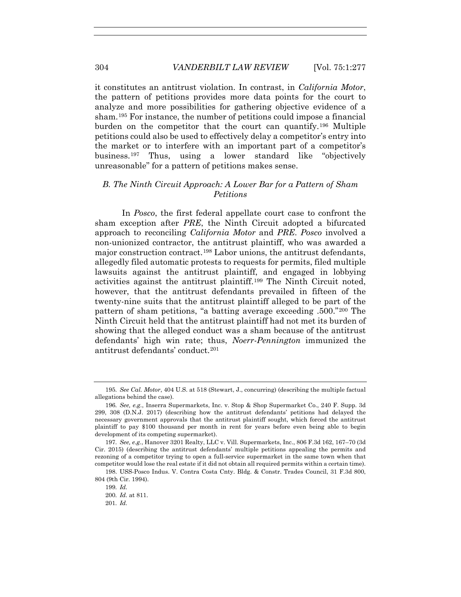it constitutes an antitrust violation. In contrast, in *California Motor*, the pattern of petitions provides more data points for the court to analyze and more possibilities for gathering objective evidence of a sham.195 For instance, the number of petitions could impose a financial burden on the competitor that the court can quantify.196 Multiple petitions could also be used to effectively delay a competitor's entry into the market or to interfere with an important part of a competitor's business.197 Thus, using a lower standard like "objectively unreasonable" for a pattern of petitions makes sense.

## *B. The Ninth Circuit Approach: A Lower Bar for a Pattern of Sham Petitions*

In *Posco*, the first federal appellate court case to confront the sham exception after *PRE*, the Ninth Circuit adopted a bifurcated approach to reconciling *California Motor* and *PRE*. *Posco* involved a non-unionized contractor, the antitrust plaintiff, who was awarded a major construction contract.198 Labor unions, the antitrust defendants, allegedly filed automatic protests to requests for permits, filed multiple lawsuits against the antitrust plaintiff, and engaged in lobbying activities against the antitrust plaintiff.199 The Ninth Circuit noted, however, that the antitrust defendants prevailed in fifteen of the twenty-nine suits that the antitrust plaintiff alleged to be part of the pattern of sham petitions, "a batting average exceeding .500."200 The Ninth Circuit held that the antitrust plaintiff had not met its burden of showing that the alleged conduct was a sham because of the antitrust defendants' high win rate; thus, *Noerr-Pennington* immunized the antitrust defendants' conduct.201

<sup>195</sup>*. See Cal. Motor*, 404 U.S. at 518 (Stewart, J., concurring) (describing the multiple factual allegations behind the case).

<sup>196</sup>*. See, e.g.*, Inserra Supermarkets, Inc. v. Stop & Shop Supermarket Co., 240 F. Supp. 3d 299, 308 (D.N.J. 2017) (describing how the antitrust defendants' petitions had delayed the necessary government approvals that the antitrust plaintiff sought, which forced the antitrust plaintiff to pay \$100 thousand per month in rent for years before even being able to begin development of its competing supermarket).

<sup>197</sup>*. See, e.g.*, Hanover 3201 Realty, LLC v. Vill. Supermarkets, Inc., 806 F.3d 162, 167–70 (3d Cir. 2015) (describing the antitrust defendants' multiple petitions appealing the permits and rezoning of a competitor trying to open a full-service supermarket in the same town when that competitor would lose the real estate if it did not obtain all required permits within a certain time).

 <sup>198.</sup> USS-Posco Indus. V. Contra Costa Cnty. Bldg. & Constr. Trades Council, 31 F.3d 800, 804 (9th Cir. 1994).

<sup>199</sup>*. Id.*

<sup>200</sup>*. Id.* at 811.

<sup>201</sup>*. Id.*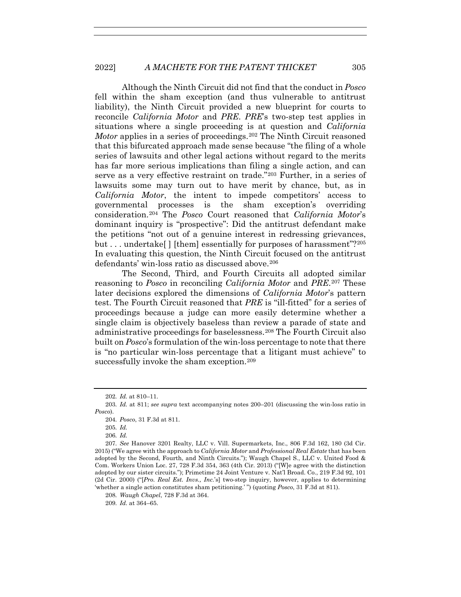Although the Ninth Circuit did not find that the conduct in *Posco*  fell within the sham exception (and thus vulnerable to antitrust liability), the Ninth Circuit provided a new blueprint for courts to reconcile *California Motor* and *PRE*. *PRE*'s two-step test applies in situations where a single proceeding is at question and *California Motor* applies in a series of proceedings.<sup>202</sup> The Ninth Circuit reasoned that this bifurcated approach made sense because "the filing of a whole series of lawsuits and other legal actions without regard to the merits has far more serious implications than filing a single action, and can serve as a very effective restraint on trade."203 Further, in a series of lawsuits some may turn out to have merit by chance, but, as in *California Motor*, the intent to impede competitors' access to governmental processes is the sham exception's overriding consideration.204 The *Posco* Court reasoned that *California Motor*'s dominant inquiry is "prospective": Did the antitrust defendant make the petitions "not out of a genuine interest in redressing grievances, but . . . undertake<sup>[]</sup> [them] essentially for purposes of harassment"?<sup>205</sup> In evaluating this question, the Ninth Circuit focused on the antitrust defendants' win-loss ratio as discussed above.<sup>206</sup>

The Second, Third, and Fourth Circuits all adopted similar reasoning to *Posco* in reconciling *California Motor* and *PRE*.207 These later decisions explored the dimensions of *California Motor*'s pattern test. The Fourth Circuit reasoned that *PRE* is "ill-fitted" for a series of proceedings because a judge can more easily determine whether a single claim is objectively baseless than review a parade of state and administrative proceedings for baselessness.208 The Fourth Circuit also built on *Posco*'s formulation of the win-loss percentage to note that there is "no particular win-loss percentage that a litigant must achieve" to successfully invoke the sham exception.<sup>209</sup>

<sup>202</sup>*. Id.* at 810–11.

<sup>203</sup>*. Id.* at 811; *see supra* text accompanying notes 200–201 (discussing the win-loss ratio in *Posco*).

<sup>204</sup>*. Posco*, 31 F.3d at 811.

<sup>205</sup>*. Id.*

<sup>206</sup>*. Id.*

<sup>207</sup>*. See* Hanover 3201 Realty, LLC v. Vill. Supermarkets, Inc., 806 F.3d 162, 180 (3d Cir. 2015) ("We agree with the approach to *California Motor* and *Professional Real Estate* that has been adopted by the Second, Fourth, and Ninth Circuits."); Waugh Chapel S., LLC v. United Food & Com. Workers Union Loc. 27, 728 F.3d 354, 363 (4th Cir. 2013) ("[W]e agree with the distinction adopted by our sister circuits."); Primetime 24 Joint Venture v. Nat'l Broad. Co., 219 F.3d 92, 101 (2d Cir. 2000) ("[*Pro. Real Est. Invs., Inc.*'s] two-step inquiry, however, applies to determining 'whether a single action constitutes sham petitioning.' ") (quoting *Posco*, 31 F.3d at 811).

<sup>208</sup>*. Waugh Chapel*, 728 F.3d at 364.

<sup>209</sup>*. Id.* at 364–65.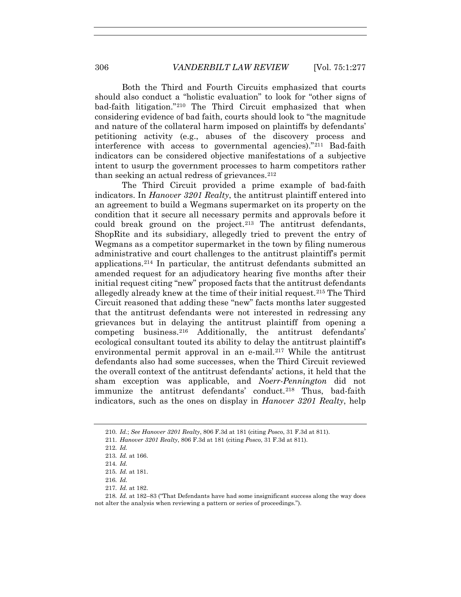Both the Third and Fourth Circuits emphasized that courts should also conduct a "holistic evaluation" to look for "other signs of bad-faith litigation."210 The Third Circuit emphasized that when considering evidence of bad faith, courts should look to "the magnitude and nature of the collateral harm imposed on plaintiffs by defendants' petitioning activity (e.g., abuses of the discovery process and interference with access to governmental agencies)."211 Bad-faith indicators can be considered objective manifestations of a subjective intent to usurp the government processes to harm competitors rather than seeking an actual redress of grievances.  $2^{12}$ 

The Third Circuit provided a prime example of bad-faith indicators. In *Hanover 3201 Realty*, the antitrust plaintiff entered into an agreement to build a Wegmans supermarket on its property on the condition that it secure all necessary permits and approvals before it could break ground on the project.<sup>213</sup> The antitrust defendants, ShopRite and its subsidiary, allegedly tried to prevent the entry of Wegmans as a competitor supermarket in the town by filing numerous administrative and court challenges to the antitrust plaintiff's permit applications.214 In particular, the antitrust defendants submitted an amended request for an adjudicatory hearing five months after their initial request citing "new" proposed facts that the antitrust defendants allegedly already knew at the time of their initial request.215 The Third Circuit reasoned that adding these "new" facts months later suggested that the antitrust defendants were not interested in redressing any grievances but in delaying the antitrust plaintiff from opening a competing business.<sup>216</sup> Additionally, the antitrust defendants' ecological consultant touted its ability to delay the antitrust plaintiff's environmental permit approval in an e-mail.<sup>217</sup> While the antitrust defendants also had some successes, when the Third Circuit reviewed the overall context of the antitrust defendants' actions, it held that the sham exception was applicable, and *Noerr-Pennington* did not immunize the antitrust defendants' conduct.<sup>218</sup> Thus, bad-faith indicators, such as the ones on display in *Hanover 3201 Realty*, help

214*. Id.*

- 216*. Id.*
- 217*. Id.* at 182.

<sup>210</sup>*. Id.*; *See Hanover 3201 Realty*, 806 F.3d at 181 (citing *Posco*, 31 F.3d at 811).

<sup>211</sup>*. Hanover 3201 Realty*, 806 F.3d at 181 (citing *Posco*, 31 F.3d at 811).

<sup>212</sup>*. Id.*

<sup>213</sup>*. Id.* at 166.

<sup>215</sup>*. Id.* at 181.

<sup>218</sup>*. Id.* at 182–83 ("That Defendants have had some insignificant success along the way does not alter the analysis when reviewing a pattern or series of proceedings.").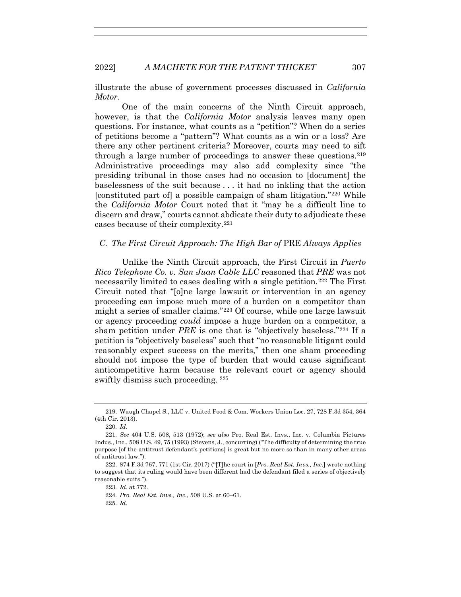illustrate the abuse of government processes discussed in *California Motor*.

One of the main concerns of the Ninth Circuit approach, however, is that the *California Motor* analysis leaves many open questions. For instance, what counts as a "petition"? When do a series of petitions become a "pattern"? What counts as a win or a loss? Are there any other pertinent criteria? Moreover, courts may need to sift through a large number of proceedings to answer these questions.<sup>219</sup> Administrative proceedings may also add complexity since "the presiding tribunal in those cases had no occasion to [document] the baselessness of the suit because . . . it had no inkling that the action [constituted part of] a possible campaign of sham litigation."220 While the *California Motor* Court noted that it "may be a difficult line to discern and draw," courts cannot abdicate their duty to adjudicate these cases because of their complexity.221

### *C. The First Circuit Approach: The High Bar of* PRE *Always Applies*

Unlike the Ninth Circuit approach, the First Circuit in *Puerto Rico Telephone Co. v. San Juan Cable LLC* reasoned that *PRE* was not necessarily limited to cases dealing with a single petition.222 The First Circuit noted that "[o]ne large lawsuit or intervention in an agency proceeding can impose much more of a burden on a competitor than might a series of smaller claims."223 Of course, while one large lawsuit or agency proceeding *could* impose a huge burden on a competitor, a sham petition under *PRE* is one that is "objectively baseless."224 If a petition is "objectively baseless" such that "no reasonable litigant could reasonably expect success on the merits," then one sham proceeding should not impose the type of burden that would cause significant anticompetitive harm because the relevant court or agency should swiftly dismiss such proceeding. 225

 <sup>219.</sup> Waugh Chapel S., LLC v. United Food & Com. Workers Union Loc. 27, 728 F.3d 354, 364 (4th Cir. 2013).

<sup>220</sup>*. Id.*

<sup>221</sup>*. See* 404 U.S. 508, 513 (1972); *see also* Pro. Real Est. Invs., Inc. v. Columbia Pictures Indus., Inc., 508 U.S. 49, 75 (1993) (Stevens, J., concurring) ("The difficulty of determining the true purpose [of the antitrust defendant's petitions] is great but no more so than in many other areas of antitrust law.").

 <sup>222. 874</sup> F.3d 767, 771 (1st Cir. 2017) ("[T]he court in [*Pro. Real Est. Invs., Inc.*] wrote nothing to suggest that its ruling would have been different had the defendant filed a series of objectively reasonable suits.").

<sup>223</sup>*. Id.* at 772.

<sup>224</sup>*. Pro. Real Est. Invs., Inc.*, 508 U.S. at 60–61.

<sup>225</sup>*. Id.*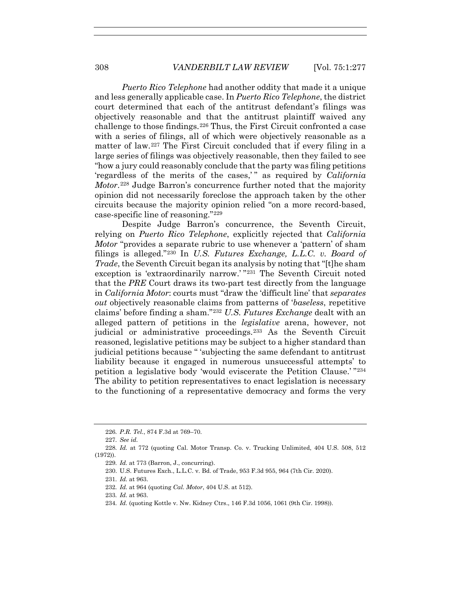*Puerto Rico Telephone* had another oddity that made it a unique and less generally applicable case. In *Puerto Rico Telephone*, the district court determined that each of the antitrust defendant's filings was objectively reasonable and that the antitrust plaintiff waived any challenge to those findings.226 Thus, the First Circuit confronted a case with a series of filings, all of which were objectively reasonable as a matter of law.227 The First Circuit concluded that if every filing in a large series of filings was objectively reasonable, then they failed to see "how a jury could reasonably conclude that the party was filing petitions 'regardless of the merits of the cases,'" as required by *California Motor*.228 Judge Barron's concurrence further noted that the majority opinion did not necessarily foreclose the approach taken by the other circuits because the majority opinion relied "on a more record-based, case-specific line of reasoning."229

Despite Judge Barron's concurrence, the Seventh Circuit, relying on *Puerto Rico Telephone*, explicitly rejected that *California Motor* "provides a separate rubric to use whenever a 'pattern' of sham filings is alleged."230 In *U.S. Futures Exchange, L.L.C. v. Board of Trade*, the Seventh Circuit began its analysis by noting that "[t]he sham exception is 'extraordinarily narrow.' "231 The Seventh Circuit noted that the *PRE* Court draws its two-part test directly from the language in *California Motor*: courts must "draw the 'difficult line' that *separates out* objectively reasonable claims from patterns of '*baseless*, repetitive claims' before finding a sham."232 *U.S. Futures Exchange* dealt with an alleged pattern of petitions in the *legislative* arena, however, not judicial or administrative proceedings.233 As the Seventh Circuit reasoned, legislative petitions may be subject to a higher standard than judicial petitions because " 'subjecting the same defendant to antitrust liability because it engaged in numerous unsuccessful attempts' to petition a legislative body 'would eviscerate the Petition Clause.' "234 The ability to petition representatives to enact legislation is necessary to the functioning of a representative democracy and forms the very

<sup>226</sup>*. P.R. Tel.*, 874 F.3d at 769–70.

<sup>227</sup>*. See id.*

<sup>228</sup>*. Id.* at 772 (quoting Cal. Motor Transp. Co. v. Trucking Unlimited, 404 U.S. 508, 512 (1972)).

<sup>229</sup>*. Id.* at 773 (Barron, J., concurring).

 <sup>230.</sup> U.S. Futures Exch., L.L.C. v. Bd. of Trade, 953 F.3d 955, 964 (7th Cir. 2020).

<sup>231</sup>*. Id.* at 963.

<sup>232</sup>*. Id.* at 964 (quoting *Cal. Motor*, 404 U.S. at 512).

<sup>233</sup>*. Id.* at 963.

<sup>234</sup>*. Id.* (quoting Kottle v. Nw. Kidney Ctrs., 146 F.3d 1056, 1061 (9th Cir. 1998)).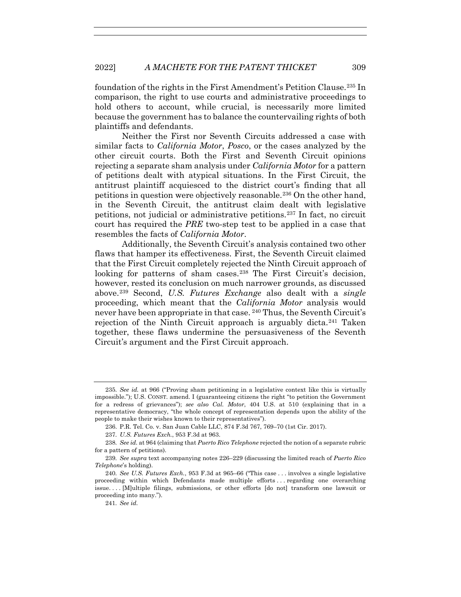foundation of the rights in the First Amendment's Petition Clause.235 In comparison, the right to use courts and administrative proceedings to hold others to account, while crucial, is necessarily more limited because the government has to balance the countervailing rights of both plaintiffs and defendants.

Neither the First nor Seventh Circuits addressed a case with similar facts to *California Motor*, *Posco*, or the cases analyzed by the other circuit courts. Both the First and Seventh Circuit opinions rejecting a separate sham analysis under *California Motor* for a pattern of petitions dealt with atypical situations. In the First Circuit, the antitrust plaintiff acquiesced to the district court's finding that all petitions in question were objectively reasonable.236 On the other hand, in the Seventh Circuit, the antitrust claim dealt with legislative petitions, not judicial or administrative petitions.237 In fact, no circuit court has required the *PRE* two-step test to be applied in a case that resembles the facts of *California Motor*.

Additionally, the Seventh Circuit's analysis contained two other flaws that hamper its effectiveness. First, the Seventh Circuit claimed that the First Circuit completely rejected the Ninth Circuit approach of looking for patterns of sham cases.<sup>238</sup> The First Circuit's decision, however, rested its conclusion on much narrower grounds, as discussed above.239 Second, *U.S. Futures Exchange* also dealt with a *single* proceeding, which meant that the *California Motor* analysis would never have been appropriate in that case. <sup>240</sup> Thus, the Seventh Circuit's rejection of the Ninth Circuit approach is arguably dicta.241 Taken together, these flaws undermine the persuasiveness of the Seventh Circuit's argument and the First Circuit approach.

<sup>235</sup>*. See id.* at 966 ("Proving sham petitioning in a legislative context like this is virtually impossible."); U.S. CONST. amend. I (guaranteeing citizens the right "to petition the Government for a redress of grievances"); *see also Cal. Motor*, 404 U.S. at 510 (explaining that in a representative democracy, "the whole concept of representation depends upon the ability of the people to make their wishes known to their representatives").

 <sup>236.</sup> P.R. Tel. Co. v. San Juan Cable LLC, 874 F.3d 767, 769–70 (1st Cir. 2017).

<sup>237</sup>*. U.S. Futures Exch.*, 953 F.3d at 963.

<sup>238</sup>*. See id.* at 964 (claiming that *Puerto Rico Telephone* rejected the notion of a separate rubric for a pattern of petitions).

<sup>239</sup>*. See supra* text accompanying notes 226–229 (discussing the limited reach of *Puerto Rico Telephone*'s holding).

<sup>240</sup>*. See U.S. Futures Exch.*, 953 F.3d at 965–66 ("This case . . . involves a single legislative proceeding within which Defendants made multiple efforts . . . regarding one overarching issue. . . . [M]ultiple filings, submissions, or other efforts [do not] transform one lawsuit or proceeding into many.").

<sup>241</sup>*. See id.*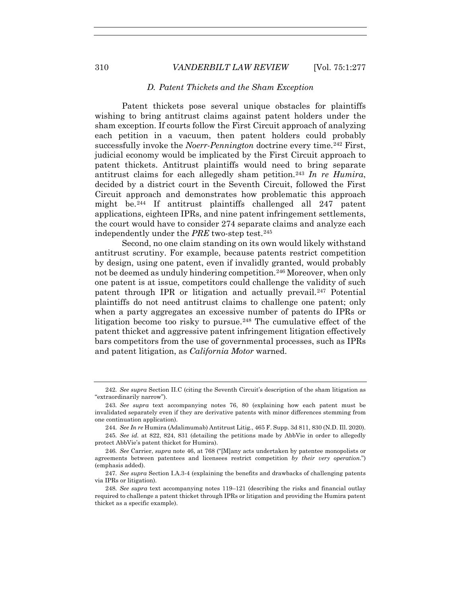## *D. Patent Thickets and the Sham Exception*

Patent thickets pose several unique obstacles for plaintiffs wishing to bring antitrust claims against patent holders under the sham exception. If courts follow the First Circuit approach of analyzing each petition in a vacuum, then patent holders could probably successfully invoke the *Noerr-Pennington* doctrine every time.<sup>242</sup> First, judicial economy would be implicated by the First Circuit approach to patent thickets. Antitrust plaintiffs would need to bring separate antitrust claims for each allegedly sham petition.243 *In re Humira*, decided by a district court in the Seventh Circuit, followed the First Circuit approach and demonstrates how problematic this approach might be.244 If antitrust plaintiffs challenged all 247 patent applications, eighteen IPRs, and nine patent infringement settlements, the court would have to consider 274 separate claims and analyze each independently under the *PRE* two-step test.245

Second, no one claim standing on its own would likely withstand antitrust scrutiny. For example, because patents restrict competition by design, using one patent, even if invalidly granted, would probably not be deemed as unduly hindering competition.246 Moreover, when only one patent is at issue, competitors could challenge the validity of such patent through IPR or litigation and actually prevail.247 Potential plaintiffs do not need antitrust claims to challenge one patent; only when a party aggregates an excessive number of patents do IPRs or litigation become too risky to pursue.<sup>248</sup> The cumulative effect of the patent thicket and aggressive patent infringement litigation effectively bars competitors from the use of governmental processes, such as IPRs and patent litigation, as *California Motor* warned.

<sup>242</sup>*. See supra* Section II.C (citing the Seventh Circuit's description of the sham litigation as "extraordinarily narrow").

<sup>243</sup>*. See supra* text accompanying notes 76, 80 (explaining how each patent must be invalidated separately even if they are derivative patents with minor differences stemming from one continuation application).

<sup>244</sup>*. See In re* Humira (Adalimumab) Antitrust Litig., 465 F. Supp. 3d 811, 830 (N.D. Ill. 2020).

<sup>245</sup>*. See id.* at 822, 824, 831 (detailing the petitions made by AbbVie in order to allegedly protect AbbVie's patent thicket for Humira).

<sup>246</sup>*. See* Carrier, *supra* note 46, at 768 ("[M]any acts undertaken by patentee monopolists or agreements between patentees and licensees restrict competition *by their very operation*.") (emphasis added).

<sup>247</sup>*. See supra* Section I.A.3-4 (explaining the benefits and drawbacks of challenging patents via IPRs or litigation).

<sup>248</sup>*. See supra* text accompanying notes 119–121 (describing the risks and financial outlay required to challenge a patent thicket through IPRs or litigation and providing the Humira patent thicket as a specific example).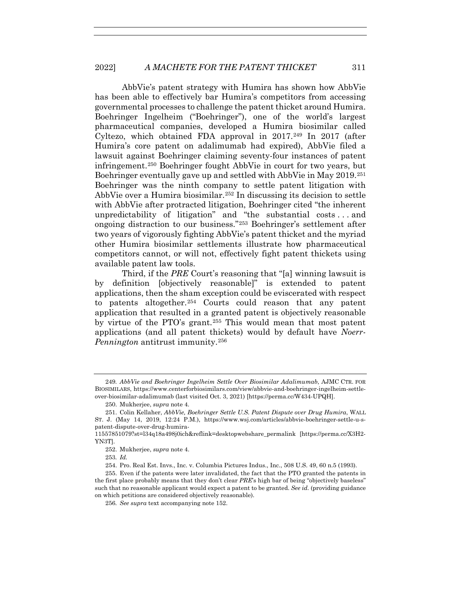AbbVie's patent strategy with Humira has shown how AbbVie has been able to effectively bar Humira's competitors from accessing governmental processes to challenge the patent thicket around Humira. Boehringer Ingelheim ("Boehringer"), one of the world's largest pharmaceutical companies, developed a Humira biosimilar called Cyltezo, which obtained FDA approval in  $2017.<sup>249</sup>$  In 2017 (after Humira's core patent on adalimumab had expired), AbbVie filed a lawsuit against Boehringer claiming seventy-four instances of patent infringement.250 Boehringer fought AbbVie in court for two years, but Boehringer eventually gave up and settled with AbbVie in May 2019.251 Boehringer was the ninth company to settle patent litigation with AbbVie over a Humira biosimilar.252 In discussing its decision to settle with AbbVie after protracted litigation, Boehringer cited "the inherent unpredictability of litigation" and "the substantial costs . . . and ongoing distraction to our business."253 Boehringer's settlement after two years of vigorously fighting AbbVie's patent thicket and the myriad other Humira biosimilar settlements illustrate how pharmaceutical competitors cannot, or will not, effectively fight patent thickets using available patent law tools.

Third, if the *PRE* Court's reasoning that "[a] winning lawsuit is by definition [objectively reasonable]" is extended to patent applications, then the sham exception could be eviscerated with respect to patents altogether.254 Courts could reason that any patent application that resulted in a granted patent is objectively reasonable by virtue of the PTO's grant.255 This would mean that most patent applications (and all patent thickets) would by default have *Noerr-Pennington* antitrust immunity.256

<sup>249</sup>*. AbbVie and Boehringer Ingelheim Settle Over Biosimilar Adalimumab*, AJMC CTR. FOR BIOSIMILARS, https://www.centerforbiosimilars.com/view/abbvie-and-boehringer-ingelheim-settleover-biosimilar-adalimumab (last visited Oct. 3, 2021) [https://perma.cc/W434-UPQH].

 <sup>250.</sup> Mukherjee, *supra* note 4.

 <sup>251.</sup> Colin Kellaher, *AbbVie, Boehringer Settle U.S. Patent Dispute over Drug Humira*, WALL ST. J. (May 14, 2019, 12:24 P.M.), https://www.wsj.com/articles/abbvie-boehringer-settle-u-spatent-dispute-over-drug-humira-

<sup>11557851079?</sup>st=l34q18a498j0ich&reflink=desktopwebshare\_permalink [https://perma.cc/X3H2- YN3T].

 <sup>252.</sup> Mukherjee, *supra* note 4.

<sup>253</sup>*. Id.*

 <sup>254.</sup> Pro. Real Est. Invs., Inc. v. Columbia Pictures Indus., Inc., 508 U.S. 49, 60 n.5 (1993).

 <sup>255.</sup> Even if the patents were later invalidated, the fact that the PTO granted the patents in the first place probably means that they don't clear *PRE*'s high bar of being "objectively baseless" such that no reasonable applicant would expect a patent to be granted. *See id.* (providing guidance on which petitions are considered objectively reasonable).

<sup>256</sup>*. See supra* text accompanying note 152.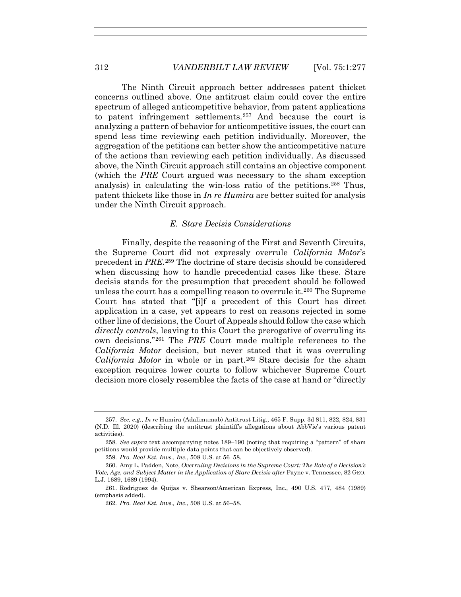The Ninth Circuit approach better addresses patent thicket concerns outlined above. One antitrust claim could cover the entire spectrum of alleged anticompetitive behavior, from patent applications to patent infringement settlements.<sup>257</sup> And because the court is analyzing a pattern of behavior for anticompetitive issues, the court can spend less time reviewing each petition individually. Moreover, the aggregation of the petitions can better show the anticompetitive nature of the actions than reviewing each petition individually. As discussed above, the Ninth Circuit approach still contains an objective component (which the *PRE* Court argued was necessary to the sham exception analysis) in calculating the win-loss ratio of the petitions.258 Thus, patent thickets like those in *In re Humira* are better suited for analysis under the Ninth Circuit approach.

#### *E. Stare Decisis Considerations*

Finally, despite the reasoning of the First and Seventh Circuits, the Supreme Court did not expressly overrule *California Motor*'s precedent in *PRE*.259 The doctrine of stare decisis should be considered when discussing how to handle precedential cases like these. Stare decisis stands for the presumption that precedent should be followed unless the court has a compelling reason to overrule it.260 The Supreme Court has stated that "[i]f a precedent of this Court has direct application in a case, yet appears to rest on reasons rejected in some other line of decisions, the Court of Appeals should follow the case which *directly controls*, leaving to this Court the prerogative of overruling its own decisions."261 The *PRE* Court made multiple references to the *California Motor* decision, but never stated that it was overruling *California Motor* in whole or in part.262 Stare decisis for the sham exception requires lower courts to follow whichever Supreme Court decision more closely resembles the facts of the case at hand or "directly

<sup>257</sup>*. See, e.g.*, *In re* Humira (Adalimumab) Antitrust Litig., 465 F. Supp. 3d 811, 822, 824, 831 (N.D. Ill. 2020) (describing the antitrust plaintiff's allegations about AbbVie's various patent activities).

<sup>258</sup>*. See supra* text accompanying notes 189–190 (noting that requiring a "pattern" of sham petitions would provide multiple data points that can be objectively observed).

<sup>259</sup>*. Pro. Real Est. Invs., Inc.*, 508 U.S. at 56–58.

 <sup>260.</sup> Amy L. Padden, Note, *Overruling Decisions in the Supreme Court: The Role of a Decision's Vote, Age, and Subject Matter in the Application of Stare Decisis after* Payne v. Tennessee, 82 GEO. L.J. 1689, 1689 (1994).

 <sup>261.</sup> Rodriguez de Quijas v. Shearson/American Express, Inc., 490 U.S. 477, 484 (1989) (emphasis added).

<sup>262</sup>*. Pro. Real Est. Invs., Inc.*, 508 U.S. at 56–58.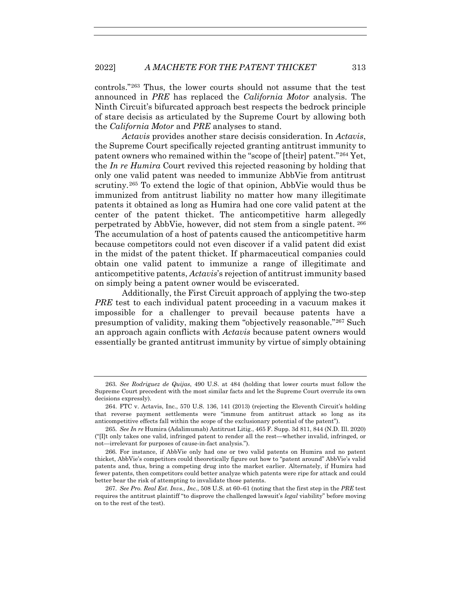controls."263 Thus, the lower courts should not assume that the test announced in *PRE* has replaced the *California Motor* analysis. The Ninth Circuit's bifurcated approach best respects the bedrock principle of stare decisis as articulated by the Supreme Court by allowing both the *California Motor* and *PRE* analyses to stand.

*Actavis* provides another stare decisis consideration. In *Actavis*, the Supreme Court specifically rejected granting antitrust immunity to patent owners who remained within the "scope of [their] patent."264 Yet, the *In re Humira* Court revived this rejected reasoning by holding that only one valid patent was needed to immunize AbbVie from antitrust scrutiny.265 To extend the logic of that opinion, AbbVie would thus be immunized from antitrust liability no matter how many illegitimate patents it obtained as long as Humira had one core valid patent at the center of the patent thicket. The anticompetitive harm allegedly perpetrated by AbbVie, however, did not stem from a single patent. <sup>266</sup> The accumulation of a host of patents caused the anticompetitive harm because competitors could not even discover if a valid patent did exist in the midst of the patent thicket. If pharmaceutical companies could obtain one valid patent to immunize a range of illegitimate and anticompetitive patents, *Actavis*'s rejection of antitrust immunity based on simply being a patent owner would be eviscerated.

Additionally, the First Circuit approach of applying the two-step *PRE* test to each individual patent proceeding in a vacuum makes it impossible for a challenger to prevail because patents have a presumption of validity, making them "objectively reasonable."267 Such an approach again conflicts with *Actavis* because patent owners would essentially be granted antitrust immunity by virtue of simply obtaining

<sup>263</sup>*. See Rodriguez de Quijas*, 490 U.S. at 484 (holding that lower courts must follow the Supreme Court precedent with the most similar facts and let the Supreme Court overrule its own decisions expressly).

 <sup>264.</sup> FTC v. Actavis, Inc., 570 U.S. 136, 141 (2013) (rejecting the Eleventh Circuit's holding that reverse payment settlements were "immune from antitrust attack so long as its anticompetitive effects fall within the scope of the exclusionary potential of the patent").

<sup>265</sup>*. See In re* Humira (Adalimumab) Antitrust Litig., 465 F. Supp. 3d 811, 844 (N.D. Ill. 2020) ("[I]t only takes one valid, infringed patent to render all the rest—whether invalid, infringed, or not—irrelevant for purposes of cause-in-fact analysis.").

<sup>266</sup>*.* For instance, if AbbVie only had one or two valid patents on Humira and no patent thicket, AbbVie's competitors could theoretically figure out how to "patent around" AbbVie's valid patents and, thus, bring a competing drug into the market earlier. Alternately, if Humira had fewer patents, then competitors could better analyze which patents were ripe for attack and could better bear the risk of attempting to invalidate those patents.

<sup>267</sup>*. See Pro. Real Est. Invs., Inc.*, 508 U.S. at 60–61 (noting that the first step in the *PRE* test requires the antitrust plaintiff "to disprove the challenged lawsuit's *legal* viability" before moving on to the rest of the test).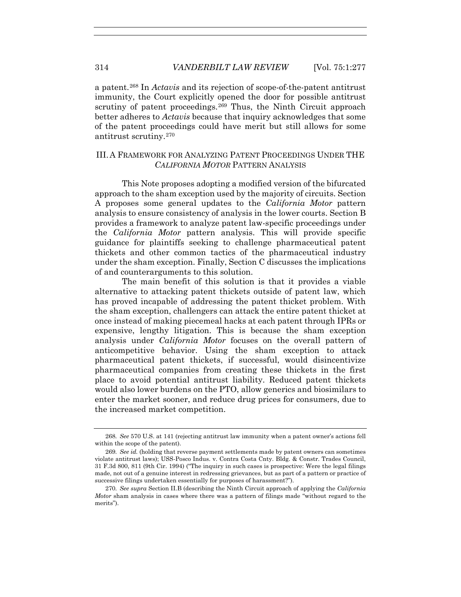a patent.268 In *Actavis* and its rejection of scope-of-the-patent antitrust immunity, the Court explicitly opened the door for possible antitrust scrutiny of patent proceedings.<sup>269</sup> Thus, the Ninth Circuit approach better adheres to *Actavis* because that inquiry acknowledges that some of the patent proceedings could have merit but still allows for some antitrust scrutiny.270

# III. A FRAMEWORK FOR ANALYZING PATENT PROCEEDINGS UNDER THE *CALIFORNIA MOTOR* PATTERN ANALYSIS

This Note proposes adopting a modified version of the bifurcated approach to the sham exception used by the majority of circuits. Section A proposes some general updates to the *California Motor* pattern analysis to ensure consistency of analysis in the lower courts. Section B provides a framework to analyze patent law-specific proceedings under the *California Motor* pattern analysis. This will provide specific guidance for plaintiffs seeking to challenge pharmaceutical patent thickets and other common tactics of the pharmaceutical industry under the sham exception. Finally, Section C discusses the implications of and counterarguments to this solution.

The main benefit of this solution is that it provides a viable alternative to attacking patent thickets outside of patent law, which has proved incapable of addressing the patent thicket problem. With the sham exception, challengers can attack the entire patent thicket at once instead of making piecemeal hacks at each patent through IPRs or expensive, lengthy litigation. This is because the sham exception analysis under *California Motor* focuses on the overall pattern of anticompetitive behavior. Using the sham exception to attack pharmaceutical patent thickets, if successful, would disincentivize pharmaceutical companies from creating these thickets in the first place to avoid potential antitrust liability. Reduced patent thickets would also lower burdens on the PTO, allow generics and biosimilars to enter the market sooner, and reduce drug prices for consumers, due to the increased market competition.

<sup>268</sup>*. See* 570 U.S. at 141 (rejecting antitrust law immunity when a patent owner's actions fell within the scope of the patent).

<sup>269</sup>*. See id.* (holding that reverse payment settlements made by patent owners can sometimes violate antitrust laws); USS-Posco Indus. v. Contra Costa Cnty. Bldg. & Constr. Trades Council, 31 F.3d 800, 811 (9th Cir. 1994) ("The inquiry in such cases is prospective: Were the legal filings made, not out of a genuine interest in redressing grievances, but as part of a pattern or practice of successive filings undertaken essentially for purposes of harassment?").

<sup>270</sup>*. See supra* Section II.B (describing the Ninth Circuit approach of applying the *California Motor* sham analysis in cases where there was a pattern of filings made "without regard to the merits").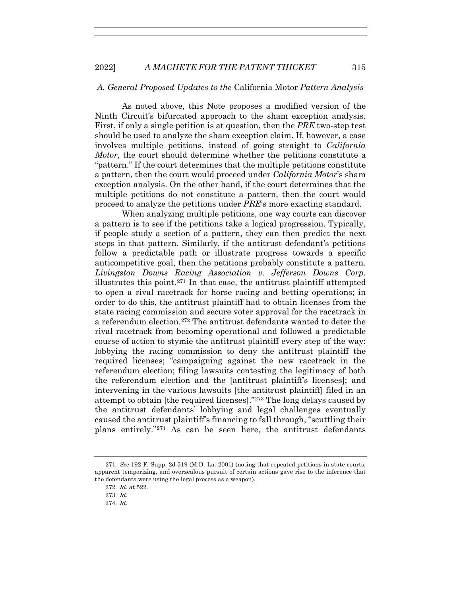#### *A. General Proposed Updates to the* California Motor *Pattern Analysis*

As noted above, this Note proposes a modified version of the Ninth Circuit's bifurcated approach to the sham exception analysis. First, if only a single petition is at question, then the *PRE* two-step test should be used to analyze the sham exception claim. If, however, a case involves multiple petitions, instead of going straight to *California Motor*, the court should determine whether the petitions constitute a "pattern." If the court determines that the multiple petitions constitute a pattern, then the court would proceed under *California Motor*'s sham exception analysis. On the other hand, if the court determines that the multiple petitions do not constitute a pattern, then the court would proceed to analyze the petitions under *PRE*'s more exacting standard.

When analyzing multiple petitions, one way courts can discover a pattern is to see if the petitions take a logical progression. Typically, if people study a section of a pattern, they can then predict the next steps in that pattern. Similarly, if the antitrust defendant's petitions follow a predictable path or illustrate progress towards a specific anticompetitive goal, then the petitions probably constitute a pattern. *Livingston Downs Racing Association v. Jefferson Downs Corp.* illustrates this point.271 In that case, the antitrust plaintiff attempted to open a rival racetrack for horse racing and betting operations; in order to do this, the antitrust plaintiff had to obtain licenses from the state racing commission and secure voter approval for the racetrack in a referendum election.272 The antitrust defendants wanted to deter the rival racetrack from becoming operational and followed a predictable course of action to stymie the antitrust plaintiff every step of the way: lobbying the racing commission to deny the antitrust plaintiff the required licenses; "campaigning against the new racetrack in the referendum election; filing lawsuits contesting the legitimacy of both the referendum election and the [antitrust plaintiff's licenses]; and intervening in the various lawsuits [the antitrust plaintiff] filed in an attempt to obtain [the required licenses]."273 The long delays caused by the antitrust defendants' lobbying and legal challenges eventually caused the antitrust plaintiff's financing to fall through, "scuttling their plans entirely."274 As can be seen here, the antitrust defendants

<sup>271</sup>*. See* 192 F. Supp. 2d 519 (M.D. La. 2001) (noting that repeated petitions in state courts, apparent temporizing, and overzealous pursuit of certain actions gave rise to the inference that the defendants were using the legal process as a weapon).

<sup>272</sup>*. Id.* at 522.

<sup>273</sup>*. Id.*

<sup>274</sup>*. Id.*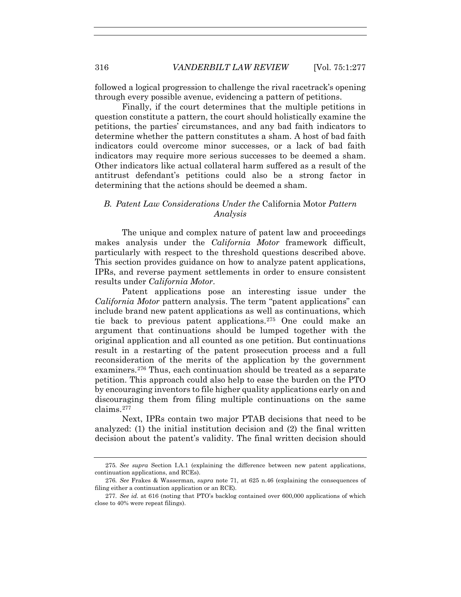followed a logical progression to challenge the rival racetrack's opening through every possible avenue, evidencing a pattern of petitions.

Finally, if the court determines that the multiple petitions in question constitute a pattern, the court should holistically examine the petitions, the parties' circumstances, and any bad faith indicators to determine whether the pattern constitutes a sham. A host of bad faith indicators could overcome minor successes, or a lack of bad faith indicators may require more serious successes to be deemed a sham. Other indicators like actual collateral harm suffered as a result of the antitrust defendant's petitions could also be a strong factor in determining that the actions should be deemed a sham.

# *B. Patent Law Considerations Under the* California Motor *Pattern Analysis*

The unique and complex nature of patent law and proceedings makes analysis under the *California Motor* framework difficult, particularly with respect to the threshold questions described above. This section provides guidance on how to analyze patent applications, IPRs, and reverse payment settlements in order to ensure consistent results under *California Motor*.

Patent applications pose an interesting issue under the *California Motor* pattern analysis. The term "patent applications" can include brand new patent applications as well as continuations, which tie back to previous patent applications.275 One could make an argument that continuations should be lumped together with the original application and all counted as one petition. But continuations result in a restarting of the patent prosecution process and a full reconsideration of the merits of the application by the government examiners.276 Thus, each continuation should be treated as a separate petition. This approach could also help to ease the burden on the PTO by encouraging inventors to file higher quality applications early on and discouraging them from filing multiple continuations on the same claims.277

Next, IPRs contain two major PTAB decisions that need to be analyzed: (1) the initial institution decision and (2) the final written decision about the patent's validity. The final written decision should

<sup>275</sup>*. See supra* Section I.A.1 (explaining the difference between new patent applications, continuation applications, and RCEs).

<sup>276</sup>*. See* Frakes & Wasserman, *supra* note 71, at 625 n.46 (explaining the consequences of filing either a continuation application or an RCE).

<sup>277</sup>*. See id.* at 616 (noting that PTO's backlog contained over 600,000 applications of which close to 40% were repeat filings).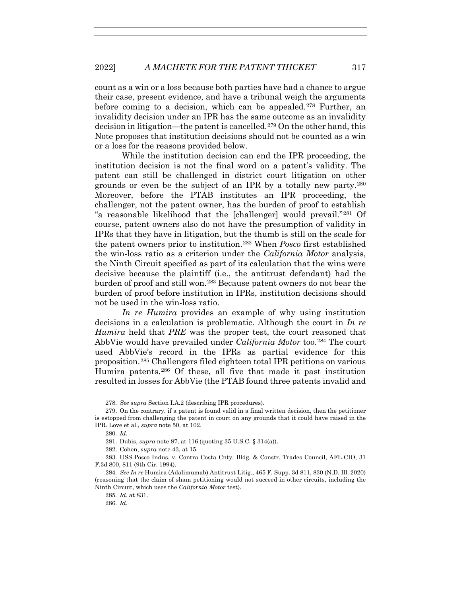count as a win or a loss because both parties have had a chance to argue their case, present evidence, and have a tribunal weigh the arguments before coming to a decision, which can be appealed.278 Further, an invalidity decision under an IPR has the same outcome as an invalidity decision in litigation—the patent is cancelled.279 On the other hand, this Note proposes that institution decisions should not be counted as a win or a loss for the reasons provided below.

While the institution decision can end the IPR proceeding, the institution decision is not the final word on a patent's validity. The patent can still be challenged in district court litigation on other grounds or even be the subject of an IPR by a totally new party.280 Moreover, before the PTAB institutes an IPR proceeding, the challenger, not the patent owner, has the burden of proof to establish "a reasonable likelihood that the [challenger] would prevail."281 Of course, patent owners also do not have the presumption of validity in IPRs that they have in litigation, but the thumb is still on the scale for the patent owners prior to institution.282 When *Posco* first established the win-loss ratio as a criterion under the *California Motor* analysis, the Ninth Circuit specified as part of its calculation that the wins were decisive because the plaintiff (i.e., the antitrust defendant) had the burden of proof and still won.283 Because patent owners do not bear the burden of proof before institution in IPRs, institution decisions should not be used in the win-loss ratio.

*In re Humira* provides an example of why using institution decisions in a calculation is problematic. Although the court in *In re Humira* held that *PRE* was the proper test, the court reasoned that AbbVie would have prevailed under *California Motor* too.284 The court used AbbVie's record in the IPRs as partial evidence for this proposition.285 Challengers filed eighteen total IPR petitions on various Humira patents.286 Of these, all five that made it past institution resulted in losses for AbbVie (the PTAB found three patents invalid and

<sup>278</sup>*. See supra* Section I.A.2 (describing IPR procedures).

 <sup>279.</sup> On the contrary, if a patent is found valid in a final written decision, then the petitioner is estopped from challenging the patent in court on any grounds that it could have raised in the IPR. Love et al., *supra* note 50, at 102.

<sup>280</sup>*. Id.*

 <sup>281.</sup> Dubis, *supra* note 87, at 116 (quoting 35 U.S.C. § 314(a)).

<sup>282.</sup> Cohen, *supra* note 43, at 15.

<sup>283.</sup> USS-Posco Indus. v. Contra Costa Cnty. Bldg. & Constr. Trades Council, AFL-CIO, 31 F.3d 800, 811 (9th Cir. 1994).

<sup>284</sup>*. See In re* Humira (Adalimumab) Antitrust Litig., 465 F. Supp. 3d 811, 830 (N.D. Ill. 2020) (reasoning that the claim of sham petitioning would not succeed in other circuits, including the Ninth Circuit, which uses the *California Motor* test).

<sup>285</sup>*. Id.* at 831.

<sup>286</sup>*. Id.*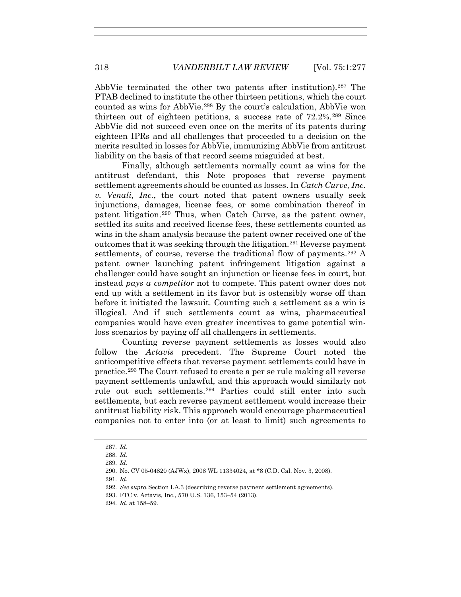AbbVie terminated the other two patents after institution).<sup>287</sup> The PTAB declined to institute the other thirteen petitions, which the court counted as wins for AbbVie.288 By the court's calculation, AbbVie won thirteen out of eighteen petitions, a success rate of 72.2%.289 Since AbbVie did not succeed even once on the merits of its patents during eighteen IPRs and all challenges that proceeded to a decision on the merits resulted in losses for AbbVie, immunizing AbbVie from antitrust liability on the basis of that record seems misguided at best.

Finally, although settlements normally count as wins for the antitrust defendant, this Note proposes that reverse payment settlement agreements should be counted as losses. In *Catch Curve, Inc. v. Venali, Inc.*, the court noted that patent owners usually seek injunctions, damages, license fees, or some combination thereof in patent litigation.290 Thus, when Catch Curve, as the patent owner, settled its suits and received license fees, these settlements counted as wins in the sham analysis because the patent owner received one of the outcomes that it was seeking through the litigation.291 Reverse payment settlements, of course, reverse the traditional flow of payments.<sup>292</sup> A patent owner launching patent infringement litigation against a challenger could have sought an injunction or license fees in court, but instead *pays a competitor* not to compete. This patent owner does not end up with a settlement in its favor but is ostensibly worse off than before it initiated the lawsuit. Counting such a settlement as a win is illogical. And if such settlements count as wins, pharmaceutical companies would have even greater incentives to game potential winloss scenarios by paying off all challengers in settlements.

Counting reverse payment settlements as losses would also follow the *Actavis* precedent. The Supreme Court noted the anticompetitive effects that reverse payment settlements could have in practice.293 The Court refused to create a per se rule making all reverse payment settlements unlawful, and this approach would similarly not rule out such settlements.294 Parties could still enter into such settlements, but each reverse payment settlement would increase their antitrust liability risk. This approach would encourage pharmaceutical companies not to enter into (or at least to limit) such agreements to

<sup>287</sup>*. Id.*

<sup>288</sup>*. Id.*

<sup>289</sup>*. Id.*

 <sup>290.</sup> No. CV 05-04820 (AJWx), 2008 WL 11334024, at \*8 (C.D. Cal. Nov. 3, 2008).

<sup>291</sup>*. Id.*

<sup>292</sup>*. See supra* Section I.A.3 (describing reverse payment settlement agreements).

 <sup>293.</sup> FTC v. Actavis, Inc., 570 U.S. 136, 153–54 (2013).

<sup>294</sup>*. Id.* at 158–59.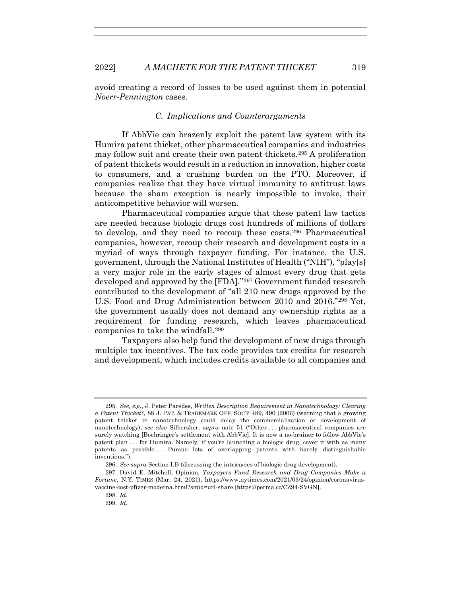avoid creating a record of losses to be used against them in potential *Noerr-Pennington* cases.

## *C. Implications and Counterarguments*

If AbbVie can brazenly exploit the patent law system with its Humira patent thicket, other pharmaceutical companies and industries may follow suit and create their own patent thickets.295 A proliferation of patent thickets would result in a reduction in innovation, higher costs to consumers, and a crushing burden on the PTO. Moreover, if companies realize that they have virtual immunity to antitrust laws because the sham exception is nearly impossible to invoke, their anticompetitive behavior will worsen.

Pharmaceutical companies argue that these patent law tactics are needed because biologic drugs cost hundreds of millions of dollars to develop, and they need to recoup these costs.296 Pharmaceutical companies, however, recoup their research and development costs in a myriad of ways through taxpayer funding. For instance, the U.S. government, through the National Institutes of Health ("NIH"), "play[s] a very major role in the early stages of almost every drug that gets developed and approved by the [FDA]."297 Government funded research contributed to the development of "all 210 new drugs approved by the U.S. Food and Drug Administration between 2010 and 2016."298 Yet, the government usually does not demand any ownership rights as a requirement for funding research, which leaves pharmaceutical companies to take the windfall.299

Taxpayers also help fund the development of new drugs through multiple tax incentives. The tax code provides tax credits for research and development, which includes credits available to all companies and

<sup>295</sup>*. See, e.g.*, J. Peter Paredes, *Written Description Requirement in Nanotechnology: Clearing a Patent Thicket?*, 88 J. PAT. & TRADEMARK OFF. SOC'Y 489, 490 (2006) (warning that a growing patent thicket in nanotechnology could delay the commercialization or development of nanotechnology); *see also* Silbersher, *supra* note 51 ("Other . . . pharmaceutical companies are surely watching [Boehringer's settlement with AbbVie]. It is now a no-brainer to follow AbbVie's patent plan . . . for Humira. Namely, if you're launching a biologic drug, cover it with as many patents as possible. . . . Pursue lots of overlapping patents with barely distinguishable inventions.").

<sup>296</sup>*. See supra* Section I.B (discussing the intricacies of biologic drug development).

 <sup>297.</sup> David E. Mitchell, Opinion, *Taxpayers Fund Research and Drug Companies Make a Fortune*, N.Y. TIMES (Mar. 24, 2021), https://www.nytimes.com/2021/03/24/opinion/coronavirusvaccine-cost-pfizer-moderna.html?smid=url-share [https://perma.cc/CZ94-SVGN].

<sup>298</sup>*. Id.*

<sup>299</sup>*. Id.*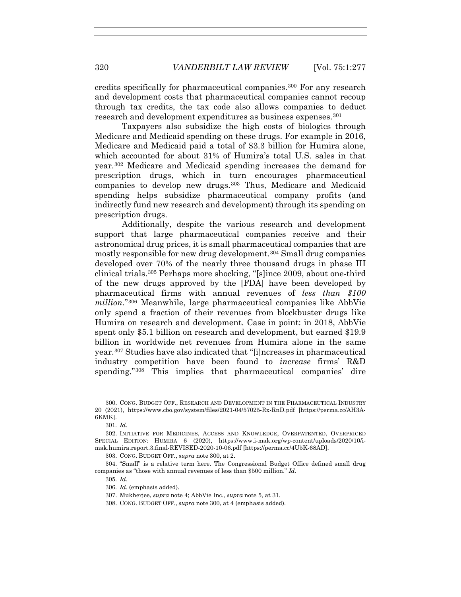credits specifically for pharmaceutical companies.300 For any research and development costs that pharmaceutical companies cannot recoup through tax credits, the tax code also allows companies to deduct research and development expenditures as business expenses.<sup>301</sup>

Taxpayers also subsidize the high costs of biologics through Medicare and Medicaid spending on these drugs. For example in 2016, Medicare and Medicaid paid a total of \$3.3 billion for Humira alone, which accounted for about 31% of Humira's total U.S. sales in that year.302 Medicare and Medicaid spending increases the demand for prescription drugs, which in turn encourages pharmaceutical companies to develop new drugs.303 Thus, Medicare and Medicaid spending helps subsidize pharmaceutical company profits (and indirectly fund new research and development) through its spending on prescription drugs.

Additionally, despite the various research and development support that large pharmaceutical companies receive and their astronomical drug prices, it is small pharmaceutical companies that are mostly responsible for new drug development.304 Small drug companies developed over 70% of the nearly three thousand drugs in phase III clinical trials.305 Perhaps more shocking, "[s]ince 2009, about one-third of the new drugs approved by the [FDA] have been developed by pharmaceutical firms with annual revenues of *less than \$100 million*."306 Meanwhile, large pharmaceutical companies like AbbVie only spend a fraction of their revenues from blockbuster drugs like Humira on research and development. Case in point: in 2018, AbbVie spent only \$5.1 billion on research and development, but earned \$19.9 billion in worldwide net revenues from Humira alone in the same year.307 Studies have also indicated that "[i]ncreases in pharmaceutical industry competition have been found to *increase* firms' R&D spending."<sup>308</sup> This implies that pharmaceutical companies' dire

 <sup>300.</sup> CONG. BUDGET OFF., RESEARCH AND DEVELOPMENT IN THE PHARMACEUTICAL INDUSTRY 20 (2021), https://www.cbo.gov/system/files/2021-04/57025-Rx-RnD.pdf [https://perma.cc/AH3A-6KMK].

<sup>301</sup>*. Id.*

 <sup>302.</sup> INITIATIVE FOR MEDICINES, ACCESS AND KNOWLEDGE, OVERPATENTED, OVERPRICED SPECIAL EDITION: HUMIRA 6 (2020), https://www.i-mak.org/wp-content/uploads/2020/10/imak.humira.report.3.final-REVISED-2020-10-06.pdf [https://perma.cc/4U5K-68AD].

 <sup>303.</sup> CONG. BUDGET OFF., *supra* note 300, at 2.

 <sup>304. &</sup>quot;Small" is a relative term here. The Congressional Budget Office defined small drug companies as "those with annual revenues of less than \$500 million." *Id.*

<sup>305</sup>*. Id.*

<sup>306</sup>*. Id.* (emphasis added).

 <sup>307.</sup> Mukherjee, *supra* note 4; AbbVie Inc., *supra* note 5, at 31.

 <sup>308.</sup> CONG. BUDGET OFF., *supra* note 300, at 4 (emphasis added).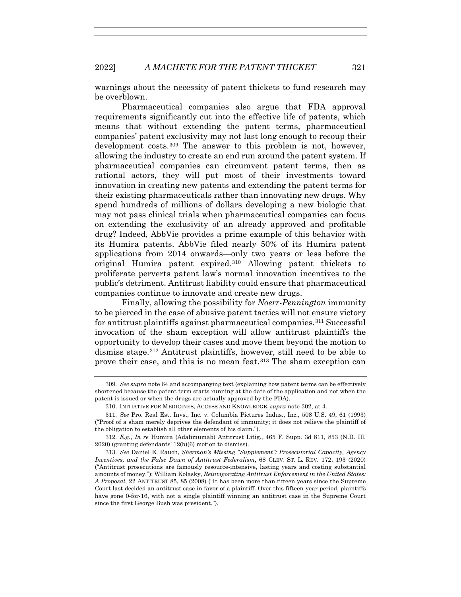warnings about the necessity of patent thickets to fund research may be overblown.

Pharmaceutical companies also argue that FDA approval requirements significantly cut into the effective life of patents, which means that without extending the patent terms, pharmaceutical companies' patent exclusivity may not last long enough to recoup their development costs.309 The answer to this problem is not, however, allowing the industry to create an end run around the patent system. If pharmaceutical companies can circumvent patent terms, then as rational actors, they will put most of their investments toward innovation in creating new patents and extending the patent terms for their existing pharmaceuticals rather than innovating new drugs. Why spend hundreds of millions of dollars developing a new biologic that may not pass clinical trials when pharmaceutical companies can focus on extending the exclusivity of an already approved and profitable drug? Indeed, AbbVie provides a prime example of this behavior with its Humira patents. AbbVie filed nearly 50% of its Humira patent applications from 2014 onwards—only two years or less before the original Humira patent expired.310 Allowing patent thickets to proliferate perverts patent law's normal innovation incentives to the public's detriment. Antitrust liability could ensure that pharmaceutical companies continue to innovate and create new drugs.

Finally, allowing the possibility for *Noerr-Pennington* immunity to be pierced in the case of abusive patent tactics will not ensure victory for antitrust plaintiffs against pharmaceutical companies.311 Successful invocation of the sham exception will allow antitrust plaintiffs the opportunity to develop their cases and move them beyond the motion to dismiss stage.312 Antitrust plaintiffs, however, still need to be able to prove their case, and this is no mean feat.313 The sham exception can

<sup>309</sup>*. See supra* note 64 and accompanying text (explaining how patent terms can be effectively shortened because the patent term starts running at the date of the application and not when the patent is issued or when the drugs are actually approved by the FDA).

 <sup>310.</sup> INITIATIVE FOR MEDICINES, ACCESS AND KNOWLEDGE, *supra* note 302, at 4.

<sup>311</sup>*. See* Pro. Real Est. Invs., Inc. v. Columbia Pictures Indus., Inc., 508 U.S. 49, 61 (1993) ("Proof of a sham merely deprives the defendant of immunity; it does not relieve the plaintiff of the obligation to establish all other elements of his claim.").

<sup>312</sup>*. E.g.*, *In re* Humira (Adalimumab) Antitrust Litig., 465 F. Supp. 3d 811, 853 (N.D. Ill. 2020) (granting defendants' 12(b)(6) motion to dismiss).

<sup>313</sup>*. See* Daniel E. Rauch, *Sherman's Missing "Supplement": Prosecutorial Capacity, Agency Incentives, and the False Dawn of Antitrust Federalism*, 68 CLEV. ST. L. REV. 172, 193 (2020) ("Antitrust prosecutions are famously resource-intensive, lasting years and costing substantial amounts of money."); William Kolasky, *Reinvigorating Antitrust Enforcement in the United States: A Proposal*, 22 ANTITRUST 85, 85 (2008) ("It has been more than fifteen years since the Supreme Court last decided an antitrust case in favor of a plaintiff. Over this fifteen-year period, plaintiffs have gone 0-for-16, with not a single plaintiff winning an antitrust case in the Supreme Court since the first George Bush was president.").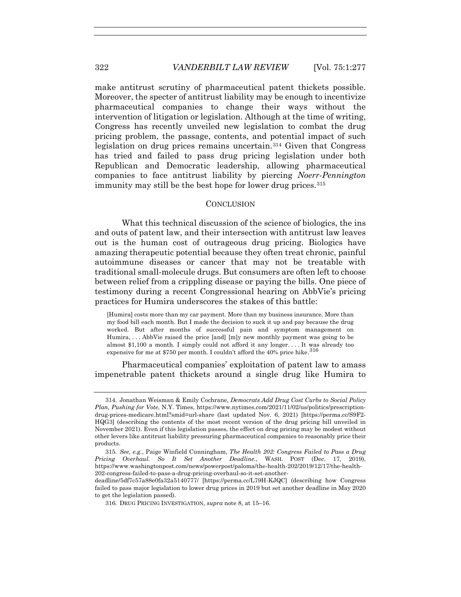make antitrust scrutiny of pharmaceutical patent thickets possible. Moreover, the specter of antitrust liability may be enough to incentivize pharmaceutical companies to change their ways without the intervention of litigation or legislation. Although at the time of writing, Congress has recently unveiled new legislation to combat the drug pricing problem, the passage, contents, and potential impact of such legislation on drug prices remains uncertain.314 Given that Congress has tried and failed to pass drug pricing legislation under both Republican and Democratic leadership, allowing pharmaceutical companies to face antitrust liability by piercing *Noerr-Pennington* immunity may still be the best hope for lower drug prices.<sup>315</sup>

#### **CONCLUSION**

What this technical discussion of the science of biologics, the ins and outs of patent law, and their intersection with antitrust law leaves out is the human cost of outrageous drug pricing. Biologics have amazing therapeutic potential because they often treat chronic, painful autoimmune diseases or cancer that may not be treatable with traditional small-molecule drugs. But consumers are often left to choose between relief from a crippling disease or paying the bills. One piece of testimony during a recent Congressional hearing on AbbVie's pricing practices for Humira underscores the stakes of this battle:

[Humira] costs more than my car payment. More than my business insurance. More than my food bill each month. But I made the decision to suck it up and pay because the drug worked. But after months of successful pain and symptom management on Humira, . . . AbbVie raised the price [and] [m]y new monthly payment was going to be almost \$1,100 a month. I simply could not afford it any longer. . . . It was already too expensive for me at \$750 per month. I couldn't afford the 40% price hike.  $316$ 

Pharmaceutical companies' exploitation of patent law to amass impenetrable patent thickets around a single drug like Humira to

<sup>314</sup>*.* Jonathan Weisman & Emily Cochrane*, Democrats Add Drug Cost Curbs to Social Policy Plan, Pushing for Vote*, N.Y. Times, https://www.nytimes.com/2021/11/02/us/politics/prescriptiondrug-prices-medicare.html?smid=url-share (last updated Nov. 6, 2021) [https://perma.cc/S9F2- HQG3] (describing the contents of the most recent version of the drug pricing bill unveiled in November 2021). Even if this legislation passes, the effect on drug pricing may be modest without other levers like antitrust liability pressuring pharmaceutical companies to reasonably price their products.

<sup>315</sup>*. See, e.g.*, Paige Winfield Cunningham, *The Health 202: Congress Failed to Pass a Drug Pricing Overhaul. So It Set Another Deadline.*, WASH. POST (Dec. 17, 2019), https://www.washingtonpost.com/news/powerpost/paloma/the-health-202/2019/12/17/the-health-202-congress-failed-to-pass-a-drug-pricing-overhaul-so-it-set-another-

deadline/5df7c57a88e0fa32a5140777/ [https://perma.cc/L79H-KJQC] (describing how Congress failed to pass major legislation to lower drug prices in 2019 but set another deadline in May 2020 to get the legislation passed).

<sup>316</sup>*.* DRUG PRICING INVESTIGATION, *supra* note 8, at 15–16.